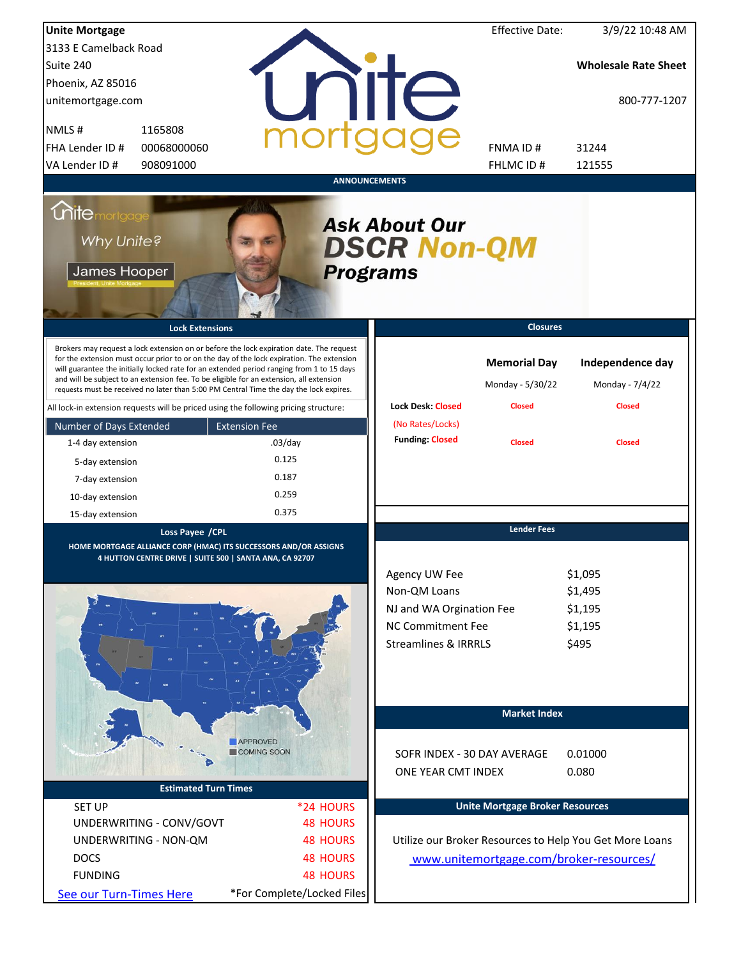| <b>Unite Mortgage</b>                                                                |                                                                                                                                                                                                                                                                                                                                                                                                                                                                        |                      |                            |                                                                                                                          | <b>Effective Date:</b>                                   | 3/9/22 10:48 AM                                         |
|--------------------------------------------------------------------------------------|------------------------------------------------------------------------------------------------------------------------------------------------------------------------------------------------------------------------------------------------------------------------------------------------------------------------------------------------------------------------------------------------------------------------------------------------------------------------|----------------------|----------------------------|--------------------------------------------------------------------------------------------------------------------------|----------------------------------------------------------|---------------------------------------------------------|
| 3133 E Camelback Road                                                                |                                                                                                                                                                                                                                                                                                                                                                                                                                                                        |                      |                            |                                                                                                                          |                                                          |                                                         |
| Suite 240                                                                            |                                                                                                                                                                                                                                                                                                                                                                                                                                                                        |                      |                            |                                                                                                                          |                                                          | <b>Wholesale Rate Sheet</b>                             |
| Phoenix, AZ 85016                                                                    |                                                                                                                                                                                                                                                                                                                                                                                                                                                                        |                      |                            |                                                                                                                          |                                                          |                                                         |
| unitemortgage.com                                                                    |                                                                                                                                                                                                                                                                                                                                                                                                                                                                        |                      |                            | <b>Tite</b>                                                                                                              |                                                          | 800-777-1207                                            |
| NMLS#                                                                                | 1165808                                                                                                                                                                                                                                                                                                                                                                                                                                                                |                      |                            |                                                                                                                          |                                                          |                                                         |
| FHA Lender ID #                                                                      | 00068000060                                                                                                                                                                                                                                                                                                                                                                                                                                                            |                      |                            |                                                                                                                          | FNMA ID#                                                 | 31244                                                   |
| VA Lender ID #                                                                       | 908091000                                                                                                                                                                                                                                                                                                                                                                                                                                                              |                      |                            |                                                                                                                          | FHLMC ID#                                                | 121555                                                  |
|                                                                                      |                                                                                                                                                                                                                                                                                                                                                                                                                                                                        |                      | <b>ANNOUNCEMENTS</b>       |                                                                                                                          |                                                          |                                                         |
| <i><u><b>Chitemortgage</b></u></i><br>Why Unite?<br>James Hooper                     |                                                                                                                                                                                                                                                                                                                                                                                                                                                                        |                      |                            | <b>Ask About Our</b><br><b>DSCR Non-QM</b><br><b>Programs</b>                                                            |                                                          |                                                         |
|                                                                                      | <b>Lock Extensions</b>                                                                                                                                                                                                                                                                                                                                                                                                                                                 |                      |                            |                                                                                                                          | <b>Closures</b>                                          |                                                         |
|                                                                                      | Brokers may request a lock extension on or before the lock expiration date. The request<br>for the extension must occur prior to or on the day of the lock expiration. The extension<br>will guarantee the initially locked rate for an extended period ranging from 1 to 15 days<br>and will be subject to an extension fee. To be eligible for an extension, all extension<br>requests must be received no later than 5:00 PM Central Time the day the lock expires. |                      |                            | <b>Lock Desk: Closed</b>                                                                                                 | <b>Memorial Day</b><br>Monday - 5/30/22<br><b>Closed</b> | Independence day<br>Monday - 7/4/22<br><b>Closed</b>    |
| All lock-in extension requests will be priced using the following pricing structure: |                                                                                                                                                                                                                                                                                                                                                                                                                                                                        |                      |                            | (No Rates/Locks)                                                                                                         |                                                          |                                                         |
| Number of Days Extended                                                              |                                                                                                                                                                                                                                                                                                                                                                                                                                                                        | <b>Extension Fee</b> |                            | <b>Funding: Closed</b>                                                                                                   |                                                          |                                                         |
| 1-4 day extension                                                                    |                                                                                                                                                                                                                                                                                                                                                                                                                                                                        | $.03$ /day           |                            |                                                                                                                          | <b>Closed</b>                                            | <b>Closed</b>                                           |
| 5-day extension                                                                      |                                                                                                                                                                                                                                                                                                                                                                                                                                                                        | 0.125                |                            |                                                                                                                          |                                                          |                                                         |
| 7-day extension                                                                      |                                                                                                                                                                                                                                                                                                                                                                                                                                                                        | 0.187                |                            |                                                                                                                          |                                                          |                                                         |
| 10-day extension                                                                     |                                                                                                                                                                                                                                                                                                                                                                                                                                                                        | 0.259                |                            |                                                                                                                          |                                                          |                                                         |
| 15-day extension                                                                     |                                                                                                                                                                                                                                                                                                                                                                                                                                                                        | 0.375                |                            |                                                                                                                          |                                                          |                                                         |
|                                                                                      | Loss Payee / CPL<br>HOME MORTGAGE ALLIANCE CORP (HMAC) ITS SUCCESSORS AND/OR ASSIGNS<br>4 HUTTON CENTRE DRIVE   SUITE 500   SANTA ANA, CA 92707                                                                                                                                                                                                                                                                                                                        |                      |                            | Agency UW Fee<br>Non-QM Loans<br>NJ and WA Orgination Fee<br><b>NC Commitment Fee</b><br><b>Streamlines &amp; IRRRLS</b> | <b>Lender Fees</b>                                       | \$1,095<br>\$1,495<br>\$1,195<br>\$1,195<br>\$495       |
|                                                                                      |                                                                                                                                                                                                                                                                                                                                                                                                                                                                        |                      |                            |                                                                                                                          | <b>Market Index</b>                                      |                                                         |
|                                                                                      |                                                                                                                                                                                                                                                                                                                                                                                                                                                                        | <b>APPROVED</b>      |                            |                                                                                                                          |                                                          |                                                         |
|                                                                                      |                                                                                                                                                                                                                                                                                                                                                                                                                                                                        | COMING SOON          |                            | SOFR INDEX - 30 DAY AVERAGE                                                                                              |                                                          | 0.01000                                                 |
|                                                                                      |                                                                                                                                                                                                                                                                                                                                                                                                                                                                        |                      |                            | ONE YEAR CMT INDEX                                                                                                       |                                                          | 0.080                                                   |
|                                                                                      | <b>Estimated Turn Times</b>                                                                                                                                                                                                                                                                                                                                                                                                                                            |                      |                            |                                                                                                                          |                                                          |                                                         |
| <b>SET UP</b>                                                                        |                                                                                                                                                                                                                                                                                                                                                                                                                                                                        |                      | *24 HOURS                  |                                                                                                                          | <b>Unite Mortgage Broker Resources</b>                   |                                                         |
|                                                                                      | UNDERWRITING - CONV/GOVT                                                                                                                                                                                                                                                                                                                                                                                                                                               |                      | <b>48 HOURS</b>            |                                                                                                                          |                                                          |                                                         |
|                                                                                      | UNDERWRITING - NON-QM                                                                                                                                                                                                                                                                                                                                                                                                                                                  |                      | <b>48 HOURS</b>            |                                                                                                                          |                                                          | Utilize our Broker Resources to Help You Get More Loans |
| <b>DOCS</b>                                                                          |                                                                                                                                                                                                                                                                                                                                                                                                                                                                        |                      | <b>48 HOURS</b>            |                                                                                                                          |                                                          | www.unitemortgage.com/broker-resources/                 |
| <b>FUNDING</b>                                                                       |                                                                                                                                                                                                                                                                                                                                                                                                                                                                        |                      | <b>48 HOURS</b>            |                                                                                                                          |                                                          |                                                         |
| See our Turn-Times Here                                                              |                                                                                                                                                                                                                                                                                                                                                                                                                                                                        |                      | *For Complete/Locked Files |                                                                                                                          |                                                          |                                                         |
|                                                                                      |                                                                                                                                                                                                                                                                                                                                                                                                                                                                        |                      |                            |                                                                                                                          |                                                          |                                                         |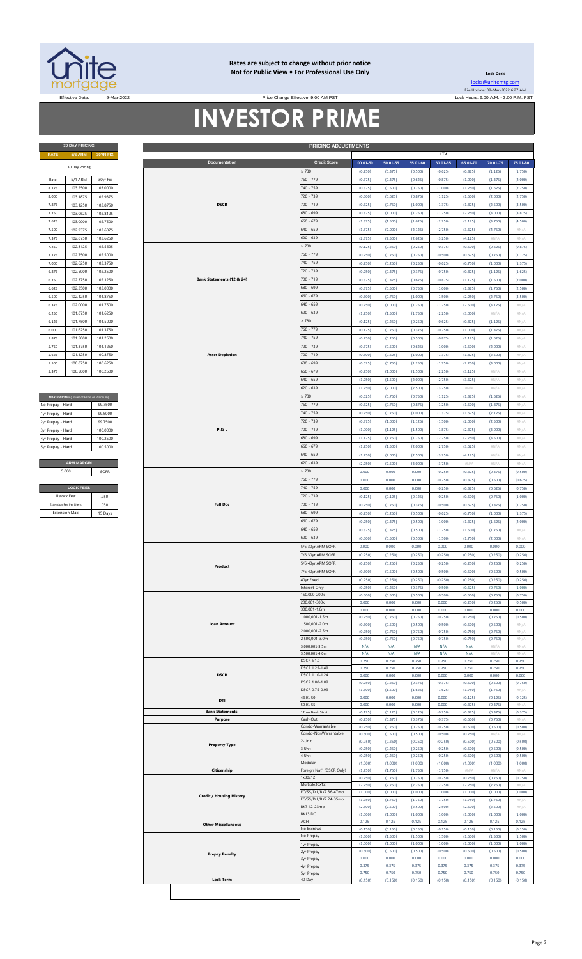

### **Rates are subject to change without prior notice Not for Public View • For Professional Use Only**

Price Change Effective: 9:00 AM PST

**Lock Desk** [locks@unitemtg](mailto:locks@unitemtg.com).com File Update: 09-Mar-2022 6:27 AM

# **INVESTOR PRIME**

| <b>RATE</b> | <b>5/6 ARM</b> | <b>30YR FIX</b> |  |  |  |  |
|-------------|----------------|-----------------|--|--|--|--|
|             | 30 Day Pricing |                 |  |  |  |  |
| Rate        | 5/1 ARM        | 30yr Fix        |  |  |  |  |
| 8.125       | 103.2500       | 103.0000        |  |  |  |  |
| 8.000       | 103.1875       | 102.9375        |  |  |  |  |
| 7.875       | 103.1250       | 102.8750        |  |  |  |  |
| 7.750       | 103.0625       | 102.8125        |  |  |  |  |
| 7.625       | 103.0000       | 102.7500        |  |  |  |  |
| 7.500       | 102.9375       | 102.6875        |  |  |  |  |
| 7.375       | 102.8750       | 102.6250        |  |  |  |  |
| 7.250       | 102.8125       | 102.5625        |  |  |  |  |
| 7.125       | 102.7500       | 102.5000        |  |  |  |  |
| 7.000       | 102.6250       | 102.3750        |  |  |  |  |
| 6.875       | 102.5000       | 102.2500        |  |  |  |  |
| 6.750       | 102.3750       | 102.1250        |  |  |  |  |
| 6.625       | 102.2500       | 102.0000        |  |  |  |  |
| 6.500       | 102.1250       | 101.8750        |  |  |  |  |
| 6.375       | 102.0000       | 101.7500        |  |  |  |  |
| 6.250       | 101.8750       | 101.6250        |  |  |  |  |
| 6.125       | 101.7500       | 101.5000        |  |  |  |  |
| 6.000       | 101.6250       | 101.3750        |  |  |  |  |
| 5.875       | 101.5000       | 101.2500        |  |  |  |  |
| 5.750       | 101.3750       | 101.1250        |  |  |  |  |
| 5.625       | 101.1250       | 100.8750        |  |  |  |  |
| 5.500       | 100.8750       | 100.6250        |  |  |  |  |
| 5.375       | 100.5000       | 100.2500        |  |  |  |  |

| MAX PRICING (Lower of Price or Premium) |          |
|-----------------------------------------|----------|
| No Prepay - Hard                        | 99 7500  |
| 1yr Prepay - Hard                       | 99.5000  |
| 2yr Prepay - Hard                       | 99 7500  |
| 3yr Prepay - Hard                       | 100,0000 |
| 4yr Prepay - Hard                       | 100 2500 |
| 5yr Prepay - Hard                       | 100.5000 |
|                                         |          |
| <b>ARM MARGIN</b>                       |          |
| 5.000                                   | SOFR     |
|                                         |          |
| <b>LOCK FEES</b>                        |          |
| Relock Fee:                             | วะก      |

| Relock Fee:             | 250     |
|-------------------------|---------|
| Extension Fee Per Diem: | 030     |
| <b>Extension Max:</b>   | 15 Days |
|                         |         |

| <b>5/6 ARM</b><br>30YR FIX<br><b>RATE</b><br><b>Credit Score</b><br><b>Documentation</b><br>$50.01 - 55$<br>55.01-60<br>$00.01 - 50$<br>30 Day Pricing<br>: 780<br>(0.250)<br>(0.375)<br>(0.500)<br>760 - 779<br>5/1 ARM<br>30yr Fix<br>(0.375)<br>(0.375)<br>(0.625)<br>Rate<br>740 - 759<br>8.125<br>103.2500<br>103.0000<br>(0.375)<br>(0.500)<br>(0.750)<br>720 - 739<br>8.000<br>103.1875<br>102.9375<br>(0.500)<br>(0.625)<br>(0.875)<br><b>DSCR</b><br>700 - 719<br>103.1250<br>102.8750<br>7.875<br>(0.625)<br>(0.750)<br>(1.000)<br>102.8125<br>680 - 699<br>103.0625<br>(1.000)<br>7.750<br>(0.875)<br>(1.250)<br>$660 - 679$<br>7.625<br>103.0000<br>102.7500<br>(1.375)<br>(1.500)<br>(1.625)<br>102.9375<br>102.6875<br>$640 - 659$<br>7.500<br>(1.875)<br>(2.000)<br>(2.125)<br>$620 - 639$<br>102.8750<br>102.6250<br>7.375<br>(2.375)<br>(2.500)<br>(2.625)<br>780<br>7.250<br>102.8125<br>102.5625<br>(0.125)<br>(0.250)<br>(0.250)<br>760 - 779<br>102.7500<br>7.125<br>102.5000<br>(0.250)<br>(0.250)<br>(0.250)<br>740 - 759<br>102.6250<br>102.3750<br>7.000<br>(0.250)<br>(0.250)<br>(0.250)<br>6.875<br>720 - 739<br>(0.250)<br>(0.375)<br>102.5000<br>102.2500<br>(0.375)<br>Bank Statements (12 & 24)<br>700 - 719<br>6.750<br>102.3750<br>102.1250<br>(0.375)<br>(0.375)<br>(0.625)<br>680 - 699<br>6.625<br>102.2500<br>(0.375)<br>(0.500)<br>(0.750)<br>102.0000<br>102.1250<br>101.8750<br>$660 - 679$<br>6.500<br>(0.500)<br>(0.750)<br>(1.000)<br>102.0000<br>101.7500<br>640 - 659<br>6.375<br>(0.750)<br>(1.000)<br>(1.250)<br>$620 - 639$<br>6.250<br>(1.250)<br>(1.500)<br>(1.750)<br>101.8750<br>101.6250<br>$\geq 780$<br>101.7500<br>101.5000<br>6.125<br>(0.125)<br>(0.250)<br>(0.250)<br>760 - 779<br>101.6250<br>101.3750<br>6.000<br>(0.125)<br>(0.250)<br>(0.375)<br>740 - 759<br>5.875<br>(0.250)<br>(0.250)<br>(0.500)<br>101.5000<br>101.2500<br>720 - 739<br>101.3750<br>5.750<br>101.1250<br>(0.375)<br>(0.500)<br>(0.625)<br>700 - 719<br>101.1250<br>100.8750<br><b>Asset Depletion</b><br>5.625<br>(0.500)<br>(0.625)<br>(1.000)<br>680 - 699<br>100.6250<br>5.500<br>100.8750<br>(0.625)<br>(0.750)<br>(1.250)<br>100.5000<br>100.2500<br>$660 - 679$<br>(1.000)<br>5.375<br>(0.750)<br>(1.500)<br>$640 - 659$<br>(1.250)<br>(1.500)<br>(2.000)<br>620 - 639<br>(1.750)<br>(2.000)<br>(2.500)<br>: 780<br>(0.625)<br>(0.750)<br>(0.750)<br>MAX PRICING (Lower of Price or Premium)<br>760 - 779<br>99.7500<br>(0.625)<br>(0.750)<br>(0.875)<br>No Prepay - Hard<br>740 - 759<br>1yr Prepay - Hard<br>99.5000<br>(0.750)<br>(0.750)<br>(1.000)<br>720 - 739<br>99.7500<br>2yr Prepay - Hard<br>(0.875)<br>(1.000)<br>(1.125)<br><b>P&amp;L</b><br>700 - 719<br>(1.000)<br>(1.125)<br>(1.500)<br>100.0000<br>3yr Prepay - Hard<br>680 - 699<br>100.2500<br>(1.125)<br>(1.250)<br>4yr Prepay - Hard<br>(1.750)<br>$660 - 679$<br>100.5000<br>(1.250)<br>(1.500)<br>(2.000)<br>5yr Prepay - Hard<br>640 - 659<br>(1.750)<br>(2.000)<br>(2.500)<br><b>ARM MARGIN</b><br>620 - 639<br>(2.250)<br>(2.500)<br>(3.000)<br>5.000<br>$\geq 780$<br>0.000<br>0.000<br>0.000<br>SOFR<br>760 - 779<br>0.000<br>0.000<br>0.000<br><b>LOCK FEES</b><br>740 - 759<br>0.000<br>0.000<br>0.000<br>720 - 739<br>Relock Fee:<br>(0.125)<br>(0.125)<br>(0.125)<br>.250<br>Extension Fee Per Diem<br>.030<br><b>Full Doc</b><br>700 - 719<br>(0.250)<br>(0.250)<br>(0.375)<br><b>Extension Max</b><br>680 - 699<br>15 Days<br>(0.250)<br>(0.250)<br>(0.500)<br>$660 - 679$<br>(0.250)<br>(0.375)<br>(0.500)<br>$640 - 659$<br>(0.500)<br>(0.375)<br>(0.375)<br>620 - 639<br>(0.500)<br>(0.500)<br>(0.500)<br>5/6 30yr ARM SOFR<br>0.000<br>0.000<br>0.000<br>7/6 30yr ARM SOFR<br>(0.250)<br>(0.250)<br>(0.250)<br>5/6 40yr ARM SOFR<br>(0.250)<br>(0.250)<br>(0.250)<br>Product<br>7/6 40yr ARM SOFR<br>(0.500)<br>(0.500)<br>(0.500)<br>40yr Fixed<br>(0.250)<br>(0.250)<br>(0.250)<br>Interest-Only<br>(0.250)<br>(0.250)<br>(0.375)<br>150,000-200k<br>(0.500)<br>(0.500)<br>(0.500)<br>200,001-300k<br>0.000<br>0.000<br>0.000<br>300,001-1.0m<br>0.000<br>0.000<br>0.000<br>,000,001-1.5m<br>(0.250)<br>(0.250)<br>(0.250)<br><b>Loan Amount</b><br>,500,001-2.0m<br>(0.500)<br>(0.500)<br>(0.500)<br>000,001-2.5m<br>(0.750)<br>(0.750)<br>(0.750)<br>2,500,001-3.0m<br>(0.750)<br>(0.750)<br>(0.750)<br>,000,001-3.5m<br>N/A<br>N/A<br>N/A<br>,500,001-4.0m<br>N/A<br>N/A<br>N/A<br>$DSCR \geq 1.5$<br>0.250<br>0.250<br>0.250<br>DSCR 1.25-1.49<br>0.250<br>0.250<br>0.250<br><b>DSCR</b><br>DSCR 1.10-1.24<br>0.000<br>0.000<br>0.000 | LTV<br>60.01-65<br>(0.625)<br>(0.875)<br>(1.000)<br>(1.125)<br>(1.375)<br>(1.750)<br>(2.250)<br>(2.750)<br>(3.250)<br>(0.375)<br>(0.500)<br>(0.625)<br>(0.750)<br>(0.875)<br>(1.000)<br>(1.500)<br>(1.750)<br>(2.250)<br>(0.625)<br>(0.750)<br>(0.875)<br>(1.000)<br>(1.375)<br>(1.750)<br>(2.250)<br>(2.750)<br>(3.250)<br>(1.125)<br>(1.250)<br>(1.375)<br>(1.500)<br>(1.875)<br>(2.250)<br>(2.750)<br>(3.250)<br>(3.750)<br>(0.250) | 65.01-70<br>(0.875)<br>(1.000)<br>(1.250)<br>(1.500)<br>(1.875)<br>(2.250)<br>(3.125)<br>(3.625)<br>(4.125)<br>(0.500)<br>(0.625)<br>(0.750)<br>(0.875)<br>(1.125)<br>(1.375)<br>(2.250)<br>(2.500)<br>(3.000)<br>(0.875)<br>(1.000)<br>(1.125)<br>(1.500)<br>(1.875)<br>(2.250)<br>(3.125)<br>(3.625)<br>#N/A<br>(1.375)<br>(1.500)<br>(1.625)<br>(2.000)<br>(2.375)<br>(2.750)<br>(3.625)<br>(4.125) | 70.01-75<br>(1.125)<br>(1.375)<br>(1.625)<br>(2.000)<br>(2.500)<br>(3.000)<br>(3.750)<br>(4.750)<br>#N/A<br>(0.625)<br>(0.750)<br>(1.000)<br>(1.125)<br>(1.500)<br>(1.750)<br>(2.750)<br>(3.125)<br>#N/A<br>(1.125)<br>(1.375)<br>(1.625)<br>(2.000)<br>(2.500)<br>(3.000)<br>#N/A<br>#N/A<br>#N/A<br>(1.625)<br>(1.875)<br>(2.125)<br>(2.500)<br>(3.000)<br>(3.500)<br>#N/A | 75.01-80<br>(1.750)<br>(2.000)<br>(2.250)<br>(2.750)<br>(3.500)<br>(3.875)<br>(4.500)<br>$\#N/A$<br>$\#N/A$<br>(0.875)<br>(1.125)<br>(1.375)<br>(1.625)<br>(2.000)<br>(2.500)<br>(3.500)<br>$\#N/2$<br>$\#N/A$<br>$\#N/A$<br>#N/A<br>$\#N/A$<br>$\#N/A$<br>$\#N/A$<br>$\#N/A$<br>$\#N/A$<br>#N/A<br>#N/A<br>#N/A<br>#N/A<br>#N/A<br>$\#N/A$<br>#N/A<br>#N/A<br>$\#N/A$ |
|------------------------------------------------------------------------------------------------------------------------------------------------------------------------------------------------------------------------------------------------------------------------------------------------------------------------------------------------------------------------------------------------------------------------------------------------------------------------------------------------------------------------------------------------------------------------------------------------------------------------------------------------------------------------------------------------------------------------------------------------------------------------------------------------------------------------------------------------------------------------------------------------------------------------------------------------------------------------------------------------------------------------------------------------------------------------------------------------------------------------------------------------------------------------------------------------------------------------------------------------------------------------------------------------------------------------------------------------------------------------------------------------------------------------------------------------------------------------------------------------------------------------------------------------------------------------------------------------------------------------------------------------------------------------------------------------------------------------------------------------------------------------------------------------------------------------------------------------------------------------------------------------------------------------------------------------------------------------------------------------------------------------------------------------------------------------------------------------------------------------------------------------------------------------------------------------------------------------------------------------------------------------------------------------------------------------------------------------------------------------------------------------------------------------------------------------------------------------------------------------------------------------------------------------------------------------------------------------------------------------------------------------------------------------------------------------------------------------------------------------------------------------------------------------------------------------------------------------------------------------------------------------------------------------------------------------------------------------------------------------------------------------------------------------------------------------------------------------------------------------------------------------------------------------------------------------------------------------------------------------------------------------------------------------------------------------------------------------------------------------------------------------------------------------------------------------------------------------------------------------------------------------------------------------------------------------------------------------------------------------------------------------------------------------------------------------------------------------------------------------------------------------------------------------------------------------------------------------------------------------------------------------------------------------------------------------------------------------------------------------------------------------------------------------------------------------------------------------------------------------------------------------------------------------------------------------------------------------------------------------------------------------------------------------------------------------------------------------------------------------------------------------------------------------------------------------------------------------------------------------------------------------------------------------------------------------------|----------------------------------------------------------------------------------------------------------------------------------------------------------------------------------------------------------------------------------------------------------------------------------------------------------------------------------------------------------------------------------------------------------------------------------------|--------------------------------------------------------------------------------------------------------------------------------------------------------------------------------------------------------------------------------------------------------------------------------------------------------------------------------------------------------------------------------------------------------|------------------------------------------------------------------------------------------------------------------------------------------------------------------------------------------------------------------------------------------------------------------------------------------------------------------------------------------------------------------------------|------------------------------------------------------------------------------------------------------------------------------------------------------------------------------------------------------------------------------------------------------------------------------------------------------------------------------------------------------------------------|
|                                                                                                                                                                                                                                                                                                                                                                                                                                                                                                                                                                                                                                                                                                                                                                                                                                                                                                                                                                                                                                                                                                                                                                                                                                                                                                                                                                                                                                                                                                                                                                                                                                                                                                                                                                                                                                                                                                                                                                                                                                                                                                                                                                                                                                                                                                                                                                                                                                                                                                                                                                                                                                                                                                                                                                                                                                                                                                                                                                                                                                                                                                                                                                                                                                                                                                                                                                                                                                                                                                                                                                                                                                                                                                                                                                                                                                                                                                                                                                                                                                                                                                                                                                                                                                                                                                                                                                                                                                                                                                                                                                              |                                                                                                                                                                                                                                                                                                                                                                                                                                        |                                                                                                                                                                                                                                                                                                                                                                                                        |                                                                                                                                                                                                                                                                                                                                                                              |                                                                                                                                                                                                                                                                                                                                                                        |
|                                                                                                                                                                                                                                                                                                                                                                                                                                                                                                                                                                                                                                                                                                                                                                                                                                                                                                                                                                                                                                                                                                                                                                                                                                                                                                                                                                                                                                                                                                                                                                                                                                                                                                                                                                                                                                                                                                                                                                                                                                                                                                                                                                                                                                                                                                                                                                                                                                                                                                                                                                                                                                                                                                                                                                                                                                                                                                                                                                                                                                                                                                                                                                                                                                                                                                                                                                                                                                                                                                                                                                                                                                                                                                                                                                                                                                                                                                                                                                                                                                                                                                                                                                                                                                                                                                                                                                                                                                                                                                                                                                              |                                                                                                                                                                                                                                                                                                                                                                                                                                        |                                                                                                                                                                                                                                                                                                                                                                                                        |                                                                                                                                                                                                                                                                                                                                                                              |                                                                                                                                                                                                                                                                                                                                                                        |
|                                                                                                                                                                                                                                                                                                                                                                                                                                                                                                                                                                                                                                                                                                                                                                                                                                                                                                                                                                                                                                                                                                                                                                                                                                                                                                                                                                                                                                                                                                                                                                                                                                                                                                                                                                                                                                                                                                                                                                                                                                                                                                                                                                                                                                                                                                                                                                                                                                                                                                                                                                                                                                                                                                                                                                                                                                                                                                                                                                                                                                                                                                                                                                                                                                                                                                                                                                                                                                                                                                                                                                                                                                                                                                                                                                                                                                                                                                                                                                                                                                                                                                                                                                                                                                                                                                                                                                                                                                                                                                                                                                              |                                                                                                                                                                                                                                                                                                                                                                                                                                        |                                                                                                                                                                                                                                                                                                                                                                                                        |                                                                                                                                                                                                                                                                                                                                                                              |                                                                                                                                                                                                                                                                                                                                                                        |
|                                                                                                                                                                                                                                                                                                                                                                                                                                                                                                                                                                                                                                                                                                                                                                                                                                                                                                                                                                                                                                                                                                                                                                                                                                                                                                                                                                                                                                                                                                                                                                                                                                                                                                                                                                                                                                                                                                                                                                                                                                                                                                                                                                                                                                                                                                                                                                                                                                                                                                                                                                                                                                                                                                                                                                                                                                                                                                                                                                                                                                                                                                                                                                                                                                                                                                                                                                                                                                                                                                                                                                                                                                                                                                                                                                                                                                                                                                                                                                                                                                                                                                                                                                                                                                                                                                                                                                                                                                                                                                                                                                              |                                                                                                                                                                                                                                                                                                                                                                                                                                        |                                                                                                                                                                                                                                                                                                                                                                                                        |                                                                                                                                                                                                                                                                                                                                                                              |                                                                                                                                                                                                                                                                                                                                                                        |
|                                                                                                                                                                                                                                                                                                                                                                                                                                                                                                                                                                                                                                                                                                                                                                                                                                                                                                                                                                                                                                                                                                                                                                                                                                                                                                                                                                                                                                                                                                                                                                                                                                                                                                                                                                                                                                                                                                                                                                                                                                                                                                                                                                                                                                                                                                                                                                                                                                                                                                                                                                                                                                                                                                                                                                                                                                                                                                                                                                                                                                                                                                                                                                                                                                                                                                                                                                                                                                                                                                                                                                                                                                                                                                                                                                                                                                                                                                                                                                                                                                                                                                                                                                                                                                                                                                                                                                                                                                                                                                                                                                              |                                                                                                                                                                                                                                                                                                                                                                                                                                        |                                                                                                                                                                                                                                                                                                                                                                                                        |                                                                                                                                                                                                                                                                                                                                                                              |                                                                                                                                                                                                                                                                                                                                                                        |
|                                                                                                                                                                                                                                                                                                                                                                                                                                                                                                                                                                                                                                                                                                                                                                                                                                                                                                                                                                                                                                                                                                                                                                                                                                                                                                                                                                                                                                                                                                                                                                                                                                                                                                                                                                                                                                                                                                                                                                                                                                                                                                                                                                                                                                                                                                                                                                                                                                                                                                                                                                                                                                                                                                                                                                                                                                                                                                                                                                                                                                                                                                                                                                                                                                                                                                                                                                                                                                                                                                                                                                                                                                                                                                                                                                                                                                                                                                                                                                                                                                                                                                                                                                                                                                                                                                                                                                                                                                                                                                                                                                              |                                                                                                                                                                                                                                                                                                                                                                                                                                        |                                                                                                                                                                                                                                                                                                                                                                                                        |                                                                                                                                                                                                                                                                                                                                                                              |                                                                                                                                                                                                                                                                                                                                                                        |
|                                                                                                                                                                                                                                                                                                                                                                                                                                                                                                                                                                                                                                                                                                                                                                                                                                                                                                                                                                                                                                                                                                                                                                                                                                                                                                                                                                                                                                                                                                                                                                                                                                                                                                                                                                                                                                                                                                                                                                                                                                                                                                                                                                                                                                                                                                                                                                                                                                                                                                                                                                                                                                                                                                                                                                                                                                                                                                                                                                                                                                                                                                                                                                                                                                                                                                                                                                                                                                                                                                                                                                                                                                                                                                                                                                                                                                                                                                                                                                                                                                                                                                                                                                                                                                                                                                                                                                                                                                                                                                                                                                              |                                                                                                                                                                                                                                                                                                                                                                                                                                        |                                                                                                                                                                                                                                                                                                                                                                                                        |                                                                                                                                                                                                                                                                                                                                                                              |                                                                                                                                                                                                                                                                                                                                                                        |
|                                                                                                                                                                                                                                                                                                                                                                                                                                                                                                                                                                                                                                                                                                                                                                                                                                                                                                                                                                                                                                                                                                                                                                                                                                                                                                                                                                                                                                                                                                                                                                                                                                                                                                                                                                                                                                                                                                                                                                                                                                                                                                                                                                                                                                                                                                                                                                                                                                                                                                                                                                                                                                                                                                                                                                                                                                                                                                                                                                                                                                                                                                                                                                                                                                                                                                                                                                                                                                                                                                                                                                                                                                                                                                                                                                                                                                                                                                                                                                                                                                                                                                                                                                                                                                                                                                                                                                                                                                                                                                                                                                              |                                                                                                                                                                                                                                                                                                                                                                                                                                        |                                                                                                                                                                                                                                                                                                                                                                                                        |                                                                                                                                                                                                                                                                                                                                                                              |                                                                                                                                                                                                                                                                                                                                                                        |
|                                                                                                                                                                                                                                                                                                                                                                                                                                                                                                                                                                                                                                                                                                                                                                                                                                                                                                                                                                                                                                                                                                                                                                                                                                                                                                                                                                                                                                                                                                                                                                                                                                                                                                                                                                                                                                                                                                                                                                                                                                                                                                                                                                                                                                                                                                                                                                                                                                                                                                                                                                                                                                                                                                                                                                                                                                                                                                                                                                                                                                                                                                                                                                                                                                                                                                                                                                                                                                                                                                                                                                                                                                                                                                                                                                                                                                                                                                                                                                                                                                                                                                                                                                                                                                                                                                                                                                                                                                                                                                                                                                              |                                                                                                                                                                                                                                                                                                                                                                                                                                        |                                                                                                                                                                                                                                                                                                                                                                                                        |                                                                                                                                                                                                                                                                                                                                                                              |                                                                                                                                                                                                                                                                                                                                                                        |
|                                                                                                                                                                                                                                                                                                                                                                                                                                                                                                                                                                                                                                                                                                                                                                                                                                                                                                                                                                                                                                                                                                                                                                                                                                                                                                                                                                                                                                                                                                                                                                                                                                                                                                                                                                                                                                                                                                                                                                                                                                                                                                                                                                                                                                                                                                                                                                                                                                                                                                                                                                                                                                                                                                                                                                                                                                                                                                                                                                                                                                                                                                                                                                                                                                                                                                                                                                                                                                                                                                                                                                                                                                                                                                                                                                                                                                                                                                                                                                                                                                                                                                                                                                                                                                                                                                                                                                                                                                                                                                                                                                              |                                                                                                                                                                                                                                                                                                                                                                                                                                        |                                                                                                                                                                                                                                                                                                                                                                                                        |                                                                                                                                                                                                                                                                                                                                                                              |                                                                                                                                                                                                                                                                                                                                                                        |
|                                                                                                                                                                                                                                                                                                                                                                                                                                                                                                                                                                                                                                                                                                                                                                                                                                                                                                                                                                                                                                                                                                                                                                                                                                                                                                                                                                                                                                                                                                                                                                                                                                                                                                                                                                                                                                                                                                                                                                                                                                                                                                                                                                                                                                                                                                                                                                                                                                                                                                                                                                                                                                                                                                                                                                                                                                                                                                                                                                                                                                                                                                                                                                                                                                                                                                                                                                                                                                                                                                                                                                                                                                                                                                                                                                                                                                                                                                                                                                                                                                                                                                                                                                                                                                                                                                                                                                                                                                                                                                                                                                              |                                                                                                                                                                                                                                                                                                                                                                                                                                        |                                                                                                                                                                                                                                                                                                                                                                                                        |                                                                                                                                                                                                                                                                                                                                                                              |                                                                                                                                                                                                                                                                                                                                                                        |
|                                                                                                                                                                                                                                                                                                                                                                                                                                                                                                                                                                                                                                                                                                                                                                                                                                                                                                                                                                                                                                                                                                                                                                                                                                                                                                                                                                                                                                                                                                                                                                                                                                                                                                                                                                                                                                                                                                                                                                                                                                                                                                                                                                                                                                                                                                                                                                                                                                                                                                                                                                                                                                                                                                                                                                                                                                                                                                                                                                                                                                                                                                                                                                                                                                                                                                                                                                                                                                                                                                                                                                                                                                                                                                                                                                                                                                                                                                                                                                                                                                                                                                                                                                                                                                                                                                                                                                                                                                                                                                                                                                              |                                                                                                                                                                                                                                                                                                                                                                                                                                        |                                                                                                                                                                                                                                                                                                                                                                                                        |                                                                                                                                                                                                                                                                                                                                                                              |                                                                                                                                                                                                                                                                                                                                                                        |
|                                                                                                                                                                                                                                                                                                                                                                                                                                                                                                                                                                                                                                                                                                                                                                                                                                                                                                                                                                                                                                                                                                                                                                                                                                                                                                                                                                                                                                                                                                                                                                                                                                                                                                                                                                                                                                                                                                                                                                                                                                                                                                                                                                                                                                                                                                                                                                                                                                                                                                                                                                                                                                                                                                                                                                                                                                                                                                                                                                                                                                                                                                                                                                                                                                                                                                                                                                                                                                                                                                                                                                                                                                                                                                                                                                                                                                                                                                                                                                                                                                                                                                                                                                                                                                                                                                                                                                                                                                                                                                                                                                              |                                                                                                                                                                                                                                                                                                                                                                                                                                        |                                                                                                                                                                                                                                                                                                                                                                                                        |                                                                                                                                                                                                                                                                                                                                                                              |                                                                                                                                                                                                                                                                                                                                                                        |
|                                                                                                                                                                                                                                                                                                                                                                                                                                                                                                                                                                                                                                                                                                                                                                                                                                                                                                                                                                                                                                                                                                                                                                                                                                                                                                                                                                                                                                                                                                                                                                                                                                                                                                                                                                                                                                                                                                                                                                                                                                                                                                                                                                                                                                                                                                                                                                                                                                                                                                                                                                                                                                                                                                                                                                                                                                                                                                                                                                                                                                                                                                                                                                                                                                                                                                                                                                                                                                                                                                                                                                                                                                                                                                                                                                                                                                                                                                                                                                                                                                                                                                                                                                                                                                                                                                                                                                                                                                                                                                                                                                              |                                                                                                                                                                                                                                                                                                                                                                                                                                        |                                                                                                                                                                                                                                                                                                                                                                                                        |                                                                                                                                                                                                                                                                                                                                                                              |                                                                                                                                                                                                                                                                                                                                                                        |
|                                                                                                                                                                                                                                                                                                                                                                                                                                                                                                                                                                                                                                                                                                                                                                                                                                                                                                                                                                                                                                                                                                                                                                                                                                                                                                                                                                                                                                                                                                                                                                                                                                                                                                                                                                                                                                                                                                                                                                                                                                                                                                                                                                                                                                                                                                                                                                                                                                                                                                                                                                                                                                                                                                                                                                                                                                                                                                                                                                                                                                                                                                                                                                                                                                                                                                                                                                                                                                                                                                                                                                                                                                                                                                                                                                                                                                                                                                                                                                                                                                                                                                                                                                                                                                                                                                                                                                                                                                                                                                                                                                              |                                                                                                                                                                                                                                                                                                                                                                                                                                        |                                                                                                                                                                                                                                                                                                                                                                                                        |                                                                                                                                                                                                                                                                                                                                                                              |                                                                                                                                                                                                                                                                                                                                                                        |
|                                                                                                                                                                                                                                                                                                                                                                                                                                                                                                                                                                                                                                                                                                                                                                                                                                                                                                                                                                                                                                                                                                                                                                                                                                                                                                                                                                                                                                                                                                                                                                                                                                                                                                                                                                                                                                                                                                                                                                                                                                                                                                                                                                                                                                                                                                                                                                                                                                                                                                                                                                                                                                                                                                                                                                                                                                                                                                                                                                                                                                                                                                                                                                                                                                                                                                                                                                                                                                                                                                                                                                                                                                                                                                                                                                                                                                                                                                                                                                                                                                                                                                                                                                                                                                                                                                                                                                                                                                                                                                                                                                              |                                                                                                                                                                                                                                                                                                                                                                                                                                        |                                                                                                                                                                                                                                                                                                                                                                                                        |                                                                                                                                                                                                                                                                                                                                                                              |                                                                                                                                                                                                                                                                                                                                                                        |
|                                                                                                                                                                                                                                                                                                                                                                                                                                                                                                                                                                                                                                                                                                                                                                                                                                                                                                                                                                                                                                                                                                                                                                                                                                                                                                                                                                                                                                                                                                                                                                                                                                                                                                                                                                                                                                                                                                                                                                                                                                                                                                                                                                                                                                                                                                                                                                                                                                                                                                                                                                                                                                                                                                                                                                                                                                                                                                                                                                                                                                                                                                                                                                                                                                                                                                                                                                                                                                                                                                                                                                                                                                                                                                                                                                                                                                                                                                                                                                                                                                                                                                                                                                                                                                                                                                                                                                                                                                                                                                                                                                              |                                                                                                                                                                                                                                                                                                                                                                                                                                        |                                                                                                                                                                                                                                                                                                                                                                                                        |                                                                                                                                                                                                                                                                                                                                                                              |                                                                                                                                                                                                                                                                                                                                                                        |
|                                                                                                                                                                                                                                                                                                                                                                                                                                                                                                                                                                                                                                                                                                                                                                                                                                                                                                                                                                                                                                                                                                                                                                                                                                                                                                                                                                                                                                                                                                                                                                                                                                                                                                                                                                                                                                                                                                                                                                                                                                                                                                                                                                                                                                                                                                                                                                                                                                                                                                                                                                                                                                                                                                                                                                                                                                                                                                                                                                                                                                                                                                                                                                                                                                                                                                                                                                                                                                                                                                                                                                                                                                                                                                                                                                                                                                                                                                                                                                                                                                                                                                                                                                                                                                                                                                                                                                                                                                                                                                                                                                              |                                                                                                                                                                                                                                                                                                                                                                                                                                        |                                                                                                                                                                                                                                                                                                                                                                                                        |                                                                                                                                                                                                                                                                                                                                                                              |                                                                                                                                                                                                                                                                                                                                                                        |
|                                                                                                                                                                                                                                                                                                                                                                                                                                                                                                                                                                                                                                                                                                                                                                                                                                                                                                                                                                                                                                                                                                                                                                                                                                                                                                                                                                                                                                                                                                                                                                                                                                                                                                                                                                                                                                                                                                                                                                                                                                                                                                                                                                                                                                                                                                                                                                                                                                                                                                                                                                                                                                                                                                                                                                                                                                                                                                                                                                                                                                                                                                                                                                                                                                                                                                                                                                                                                                                                                                                                                                                                                                                                                                                                                                                                                                                                                                                                                                                                                                                                                                                                                                                                                                                                                                                                                                                                                                                                                                                                                                              |                                                                                                                                                                                                                                                                                                                                                                                                                                        |                                                                                                                                                                                                                                                                                                                                                                                                        |                                                                                                                                                                                                                                                                                                                                                                              |                                                                                                                                                                                                                                                                                                                                                                        |
|                                                                                                                                                                                                                                                                                                                                                                                                                                                                                                                                                                                                                                                                                                                                                                                                                                                                                                                                                                                                                                                                                                                                                                                                                                                                                                                                                                                                                                                                                                                                                                                                                                                                                                                                                                                                                                                                                                                                                                                                                                                                                                                                                                                                                                                                                                                                                                                                                                                                                                                                                                                                                                                                                                                                                                                                                                                                                                                                                                                                                                                                                                                                                                                                                                                                                                                                                                                                                                                                                                                                                                                                                                                                                                                                                                                                                                                                                                                                                                                                                                                                                                                                                                                                                                                                                                                                                                                                                                                                                                                                                                              |                                                                                                                                                                                                                                                                                                                                                                                                                                        |                                                                                                                                                                                                                                                                                                                                                                                                        |                                                                                                                                                                                                                                                                                                                                                                              |                                                                                                                                                                                                                                                                                                                                                                        |
|                                                                                                                                                                                                                                                                                                                                                                                                                                                                                                                                                                                                                                                                                                                                                                                                                                                                                                                                                                                                                                                                                                                                                                                                                                                                                                                                                                                                                                                                                                                                                                                                                                                                                                                                                                                                                                                                                                                                                                                                                                                                                                                                                                                                                                                                                                                                                                                                                                                                                                                                                                                                                                                                                                                                                                                                                                                                                                                                                                                                                                                                                                                                                                                                                                                                                                                                                                                                                                                                                                                                                                                                                                                                                                                                                                                                                                                                                                                                                                                                                                                                                                                                                                                                                                                                                                                                                                                                                                                                                                                                                                              |                                                                                                                                                                                                                                                                                                                                                                                                                                        |                                                                                                                                                                                                                                                                                                                                                                                                        |                                                                                                                                                                                                                                                                                                                                                                              |                                                                                                                                                                                                                                                                                                                                                                        |
|                                                                                                                                                                                                                                                                                                                                                                                                                                                                                                                                                                                                                                                                                                                                                                                                                                                                                                                                                                                                                                                                                                                                                                                                                                                                                                                                                                                                                                                                                                                                                                                                                                                                                                                                                                                                                                                                                                                                                                                                                                                                                                                                                                                                                                                                                                                                                                                                                                                                                                                                                                                                                                                                                                                                                                                                                                                                                                                                                                                                                                                                                                                                                                                                                                                                                                                                                                                                                                                                                                                                                                                                                                                                                                                                                                                                                                                                                                                                                                                                                                                                                                                                                                                                                                                                                                                                                                                                                                                                                                                                                                              |                                                                                                                                                                                                                                                                                                                                                                                                                                        |                                                                                                                                                                                                                                                                                                                                                                                                        |                                                                                                                                                                                                                                                                                                                                                                              |                                                                                                                                                                                                                                                                                                                                                                        |
|                                                                                                                                                                                                                                                                                                                                                                                                                                                                                                                                                                                                                                                                                                                                                                                                                                                                                                                                                                                                                                                                                                                                                                                                                                                                                                                                                                                                                                                                                                                                                                                                                                                                                                                                                                                                                                                                                                                                                                                                                                                                                                                                                                                                                                                                                                                                                                                                                                                                                                                                                                                                                                                                                                                                                                                                                                                                                                                                                                                                                                                                                                                                                                                                                                                                                                                                                                                                                                                                                                                                                                                                                                                                                                                                                                                                                                                                                                                                                                                                                                                                                                                                                                                                                                                                                                                                                                                                                                                                                                                                                                              |                                                                                                                                                                                                                                                                                                                                                                                                                                        |                                                                                                                                                                                                                                                                                                                                                                                                        |                                                                                                                                                                                                                                                                                                                                                                              |                                                                                                                                                                                                                                                                                                                                                                        |
|                                                                                                                                                                                                                                                                                                                                                                                                                                                                                                                                                                                                                                                                                                                                                                                                                                                                                                                                                                                                                                                                                                                                                                                                                                                                                                                                                                                                                                                                                                                                                                                                                                                                                                                                                                                                                                                                                                                                                                                                                                                                                                                                                                                                                                                                                                                                                                                                                                                                                                                                                                                                                                                                                                                                                                                                                                                                                                                                                                                                                                                                                                                                                                                                                                                                                                                                                                                                                                                                                                                                                                                                                                                                                                                                                                                                                                                                                                                                                                                                                                                                                                                                                                                                                                                                                                                                                                                                                                                                                                                                                                              |                                                                                                                                                                                                                                                                                                                                                                                                                                        |                                                                                                                                                                                                                                                                                                                                                                                                        |                                                                                                                                                                                                                                                                                                                                                                              |                                                                                                                                                                                                                                                                                                                                                                        |
|                                                                                                                                                                                                                                                                                                                                                                                                                                                                                                                                                                                                                                                                                                                                                                                                                                                                                                                                                                                                                                                                                                                                                                                                                                                                                                                                                                                                                                                                                                                                                                                                                                                                                                                                                                                                                                                                                                                                                                                                                                                                                                                                                                                                                                                                                                                                                                                                                                                                                                                                                                                                                                                                                                                                                                                                                                                                                                                                                                                                                                                                                                                                                                                                                                                                                                                                                                                                                                                                                                                                                                                                                                                                                                                                                                                                                                                                                                                                                                                                                                                                                                                                                                                                                                                                                                                                                                                                                                                                                                                                                                              |                                                                                                                                                                                                                                                                                                                                                                                                                                        |                                                                                                                                                                                                                                                                                                                                                                                                        |                                                                                                                                                                                                                                                                                                                                                                              |                                                                                                                                                                                                                                                                                                                                                                        |
|                                                                                                                                                                                                                                                                                                                                                                                                                                                                                                                                                                                                                                                                                                                                                                                                                                                                                                                                                                                                                                                                                                                                                                                                                                                                                                                                                                                                                                                                                                                                                                                                                                                                                                                                                                                                                                                                                                                                                                                                                                                                                                                                                                                                                                                                                                                                                                                                                                                                                                                                                                                                                                                                                                                                                                                                                                                                                                                                                                                                                                                                                                                                                                                                                                                                                                                                                                                                                                                                                                                                                                                                                                                                                                                                                                                                                                                                                                                                                                                                                                                                                                                                                                                                                                                                                                                                                                                                                                                                                                                                                                              |                                                                                                                                                                                                                                                                                                                                                                                                                                        |                                                                                                                                                                                                                                                                                                                                                                                                        |                                                                                                                                                                                                                                                                                                                                                                              |                                                                                                                                                                                                                                                                                                                                                                        |
|                                                                                                                                                                                                                                                                                                                                                                                                                                                                                                                                                                                                                                                                                                                                                                                                                                                                                                                                                                                                                                                                                                                                                                                                                                                                                                                                                                                                                                                                                                                                                                                                                                                                                                                                                                                                                                                                                                                                                                                                                                                                                                                                                                                                                                                                                                                                                                                                                                                                                                                                                                                                                                                                                                                                                                                                                                                                                                                                                                                                                                                                                                                                                                                                                                                                                                                                                                                                                                                                                                                                                                                                                                                                                                                                                                                                                                                                                                                                                                                                                                                                                                                                                                                                                                                                                                                                                                                                                                                                                                                                                                              |                                                                                                                                                                                                                                                                                                                                                                                                                                        |                                                                                                                                                                                                                                                                                                                                                                                                        |                                                                                                                                                                                                                                                                                                                                                                              |                                                                                                                                                                                                                                                                                                                                                                        |
|                                                                                                                                                                                                                                                                                                                                                                                                                                                                                                                                                                                                                                                                                                                                                                                                                                                                                                                                                                                                                                                                                                                                                                                                                                                                                                                                                                                                                                                                                                                                                                                                                                                                                                                                                                                                                                                                                                                                                                                                                                                                                                                                                                                                                                                                                                                                                                                                                                                                                                                                                                                                                                                                                                                                                                                                                                                                                                                                                                                                                                                                                                                                                                                                                                                                                                                                                                                                                                                                                                                                                                                                                                                                                                                                                                                                                                                                                                                                                                                                                                                                                                                                                                                                                                                                                                                                                                                                                                                                                                                                                                              |                                                                                                                                                                                                                                                                                                                                                                                                                                        |                                                                                                                                                                                                                                                                                                                                                                                                        |                                                                                                                                                                                                                                                                                                                                                                              |                                                                                                                                                                                                                                                                                                                                                                        |
|                                                                                                                                                                                                                                                                                                                                                                                                                                                                                                                                                                                                                                                                                                                                                                                                                                                                                                                                                                                                                                                                                                                                                                                                                                                                                                                                                                                                                                                                                                                                                                                                                                                                                                                                                                                                                                                                                                                                                                                                                                                                                                                                                                                                                                                                                                                                                                                                                                                                                                                                                                                                                                                                                                                                                                                                                                                                                                                                                                                                                                                                                                                                                                                                                                                                                                                                                                                                                                                                                                                                                                                                                                                                                                                                                                                                                                                                                                                                                                                                                                                                                                                                                                                                                                                                                                                                                                                                                                                                                                                                                                              |                                                                                                                                                                                                                                                                                                                                                                                                                                        |                                                                                                                                                                                                                                                                                                                                                                                                        | #N/A                                                                                                                                                                                                                                                                                                                                                                         | #N/A                                                                                                                                                                                                                                                                                                                                                                   |
|                                                                                                                                                                                                                                                                                                                                                                                                                                                                                                                                                                                                                                                                                                                                                                                                                                                                                                                                                                                                                                                                                                                                                                                                                                                                                                                                                                                                                                                                                                                                                                                                                                                                                                                                                                                                                                                                                                                                                                                                                                                                                                                                                                                                                                                                                                                                                                                                                                                                                                                                                                                                                                                                                                                                                                                                                                                                                                                                                                                                                                                                                                                                                                                                                                                                                                                                                                                                                                                                                                                                                                                                                                                                                                                                                                                                                                                                                                                                                                                                                                                                                                                                                                                                                                                                                                                                                                                                                                                                                                                                                                              |                                                                                                                                                                                                                                                                                                                                                                                                                                        | $\#N/A$<br>(0.375)                                                                                                                                                                                                                                                                                                                                                                                     | #N/A<br>(0.375)                                                                                                                                                                                                                                                                                                                                                              | $\#N/A$<br>(0.500)                                                                                                                                                                                                                                                                                                                                                     |
|                                                                                                                                                                                                                                                                                                                                                                                                                                                                                                                                                                                                                                                                                                                                                                                                                                                                                                                                                                                                                                                                                                                                                                                                                                                                                                                                                                                                                                                                                                                                                                                                                                                                                                                                                                                                                                                                                                                                                                                                                                                                                                                                                                                                                                                                                                                                                                                                                                                                                                                                                                                                                                                                                                                                                                                                                                                                                                                                                                                                                                                                                                                                                                                                                                                                                                                                                                                                                                                                                                                                                                                                                                                                                                                                                                                                                                                                                                                                                                                                                                                                                                                                                                                                                                                                                                                                                                                                                                                                                                                                                                              | (0.250)                                                                                                                                                                                                                                                                                                                                                                                                                                | (0.375)                                                                                                                                                                                                                                                                                                                                                                                                | (0.500)                                                                                                                                                                                                                                                                                                                                                                      | (0.625)                                                                                                                                                                                                                                                                                                                                                                |
|                                                                                                                                                                                                                                                                                                                                                                                                                                                                                                                                                                                                                                                                                                                                                                                                                                                                                                                                                                                                                                                                                                                                                                                                                                                                                                                                                                                                                                                                                                                                                                                                                                                                                                                                                                                                                                                                                                                                                                                                                                                                                                                                                                                                                                                                                                                                                                                                                                                                                                                                                                                                                                                                                                                                                                                                                                                                                                                                                                                                                                                                                                                                                                                                                                                                                                                                                                                                                                                                                                                                                                                                                                                                                                                                                                                                                                                                                                                                                                                                                                                                                                                                                                                                                                                                                                                                                                                                                                                                                                                                                                              | (0.250)                                                                                                                                                                                                                                                                                                                                                                                                                                | (0.375)                                                                                                                                                                                                                                                                                                                                                                                                | (0.625)                                                                                                                                                                                                                                                                                                                                                                      | (0.750)                                                                                                                                                                                                                                                                                                                                                                |
|                                                                                                                                                                                                                                                                                                                                                                                                                                                                                                                                                                                                                                                                                                                                                                                                                                                                                                                                                                                                                                                                                                                                                                                                                                                                                                                                                                                                                                                                                                                                                                                                                                                                                                                                                                                                                                                                                                                                                                                                                                                                                                                                                                                                                                                                                                                                                                                                                                                                                                                                                                                                                                                                                                                                                                                                                                                                                                                                                                                                                                                                                                                                                                                                                                                                                                                                                                                                                                                                                                                                                                                                                                                                                                                                                                                                                                                                                                                                                                                                                                                                                                                                                                                                                                                                                                                                                                                                                                                                                                                                                                              | (0.250)<br>(0.500)                                                                                                                                                                                                                                                                                                                                                                                                                     | (0.500)<br>(0.625)                                                                                                                                                                                                                                                                                                                                                                                     | (0.750)<br>(0.875)                                                                                                                                                                                                                                                                                                                                                           | (1.000)<br>(1.250)                                                                                                                                                                                                                                                                                                                                                     |
|                                                                                                                                                                                                                                                                                                                                                                                                                                                                                                                                                                                                                                                                                                                                                                                                                                                                                                                                                                                                                                                                                                                                                                                                                                                                                                                                                                                                                                                                                                                                                                                                                                                                                                                                                                                                                                                                                                                                                                                                                                                                                                                                                                                                                                                                                                                                                                                                                                                                                                                                                                                                                                                                                                                                                                                                                                                                                                                                                                                                                                                                                                                                                                                                                                                                                                                                                                                                                                                                                                                                                                                                                                                                                                                                                                                                                                                                                                                                                                                                                                                                                                                                                                                                                                                                                                                                                                                                                                                                                                                                                                              | (0.625)                                                                                                                                                                                                                                                                                                                                                                                                                                | (0.750)                                                                                                                                                                                                                                                                                                                                                                                                | (1.000)                                                                                                                                                                                                                                                                                                                                                                      | (1.375)                                                                                                                                                                                                                                                                                                                                                                |
|                                                                                                                                                                                                                                                                                                                                                                                                                                                                                                                                                                                                                                                                                                                                                                                                                                                                                                                                                                                                                                                                                                                                                                                                                                                                                                                                                                                                                                                                                                                                                                                                                                                                                                                                                                                                                                                                                                                                                                                                                                                                                                                                                                                                                                                                                                                                                                                                                                                                                                                                                                                                                                                                                                                                                                                                                                                                                                                                                                                                                                                                                                                                                                                                                                                                                                                                                                                                                                                                                                                                                                                                                                                                                                                                                                                                                                                                                                                                                                                                                                                                                                                                                                                                                                                                                                                                                                                                                                                                                                                                                                              | (1.000)                                                                                                                                                                                                                                                                                                                                                                                                                                | (1.375)                                                                                                                                                                                                                                                                                                                                                                                                | (1.625)                                                                                                                                                                                                                                                                                                                                                                      | (2.000)                                                                                                                                                                                                                                                                                                                                                                |
|                                                                                                                                                                                                                                                                                                                                                                                                                                                                                                                                                                                                                                                                                                                                                                                                                                                                                                                                                                                                                                                                                                                                                                                                                                                                                                                                                                                                                                                                                                                                                                                                                                                                                                                                                                                                                                                                                                                                                                                                                                                                                                                                                                                                                                                                                                                                                                                                                                                                                                                                                                                                                                                                                                                                                                                                                                                                                                                                                                                                                                                                                                                                                                                                                                                                                                                                                                                                                                                                                                                                                                                                                                                                                                                                                                                                                                                                                                                                                                                                                                                                                                                                                                                                                                                                                                                                                                                                                                                                                                                                                                              | (1.250)                                                                                                                                                                                                                                                                                                                                                                                                                                | (1.500)                                                                                                                                                                                                                                                                                                                                                                                                | (1.750)                                                                                                                                                                                                                                                                                                                                                                      | $\#N/A$                                                                                                                                                                                                                                                                                                                                                                |
|                                                                                                                                                                                                                                                                                                                                                                                                                                                                                                                                                                                                                                                                                                                                                                                                                                                                                                                                                                                                                                                                                                                                                                                                                                                                                                                                                                                                                                                                                                                                                                                                                                                                                                                                                                                                                                                                                                                                                                                                                                                                                                                                                                                                                                                                                                                                                                                                                                                                                                                                                                                                                                                                                                                                                                                                                                                                                                                                                                                                                                                                                                                                                                                                                                                                                                                                                                                                                                                                                                                                                                                                                                                                                                                                                                                                                                                                                                                                                                                                                                                                                                                                                                                                                                                                                                                                                                                                                                                                                                                                                                              | (1.500)<br>0.000                                                                                                                                                                                                                                                                                                                                                                                                                       | (1.750)<br>0.000                                                                                                                                                                                                                                                                                                                                                                                       | (2.000)<br>0.000                                                                                                                                                                                                                                                                                                                                                             | #N/A<br>0.000                                                                                                                                                                                                                                                                                                                                                          |
|                                                                                                                                                                                                                                                                                                                                                                                                                                                                                                                                                                                                                                                                                                                                                                                                                                                                                                                                                                                                                                                                                                                                                                                                                                                                                                                                                                                                                                                                                                                                                                                                                                                                                                                                                                                                                                                                                                                                                                                                                                                                                                                                                                                                                                                                                                                                                                                                                                                                                                                                                                                                                                                                                                                                                                                                                                                                                                                                                                                                                                                                                                                                                                                                                                                                                                                                                                                                                                                                                                                                                                                                                                                                                                                                                                                                                                                                                                                                                                                                                                                                                                                                                                                                                                                                                                                                                                                                                                                                                                                                                                              | (0.250)                                                                                                                                                                                                                                                                                                                                                                                                                                | (0.250)                                                                                                                                                                                                                                                                                                                                                                                                | (0.250)                                                                                                                                                                                                                                                                                                                                                                      | (0.250)                                                                                                                                                                                                                                                                                                                                                                |
|                                                                                                                                                                                                                                                                                                                                                                                                                                                                                                                                                                                                                                                                                                                                                                                                                                                                                                                                                                                                                                                                                                                                                                                                                                                                                                                                                                                                                                                                                                                                                                                                                                                                                                                                                                                                                                                                                                                                                                                                                                                                                                                                                                                                                                                                                                                                                                                                                                                                                                                                                                                                                                                                                                                                                                                                                                                                                                                                                                                                                                                                                                                                                                                                                                                                                                                                                                                                                                                                                                                                                                                                                                                                                                                                                                                                                                                                                                                                                                                                                                                                                                                                                                                                                                                                                                                                                                                                                                                                                                                                                                              | (0.250)                                                                                                                                                                                                                                                                                                                                                                                                                                | (0.250)                                                                                                                                                                                                                                                                                                                                                                                                | (0.250)                                                                                                                                                                                                                                                                                                                                                                      | (0.250)                                                                                                                                                                                                                                                                                                                                                                |
|                                                                                                                                                                                                                                                                                                                                                                                                                                                                                                                                                                                                                                                                                                                                                                                                                                                                                                                                                                                                                                                                                                                                                                                                                                                                                                                                                                                                                                                                                                                                                                                                                                                                                                                                                                                                                                                                                                                                                                                                                                                                                                                                                                                                                                                                                                                                                                                                                                                                                                                                                                                                                                                                                                                                                                                                                                                                                                                                                                                                                                                                                                                                                                                                                                                                                                                                                                                                                                                                                                                                                                                                                                                                                                                                                                                                                                                                                                                                                                                                                                                                                                                                                                                                                                                                                                                                                                                                                                                                                                                                                                              | (0.500)<br>(0.250)                                                                                                                                                                                                                                                                                                                                                                                                                     | (0.500)<br>(0.250)                                                                                                                                                                                                                                                                                                                                                                                     | (0.500)<br>(0.250)                                                                                                                                                                                                                                                                                                                                                           | (0.500)<br>(0.250)                                                                                                                                                                                                                                                                                                                                                     |
|                                                                                                                                                                                                                                                                                                                                                                                                                                                                                                                                                                                                                                                                                                                                                                                                                                                                                                                                                                                                                                                                                                                                                                                                                                                                                                                                                                                                                                                                                                                                                                                                                                                                                                                                                                                                                                                                                                                                                                                                                                                                                                                                                                                                                                                                                                                                                                                                                                                                                                                                                                                                                                                                                                                                                                                                                                                                                                                                                                                                                                                                                                                                                                                                                                                                                                                                                                                                                                                                                                                                                                                                                                                                                                                                                                                                                                                                                                                                                                                                                                                                                                                                                                                                                                                                                                                                                                                                                                                                                                                                                                              | (0.500)                                                                                                                                                                                                                                                                                                                                                                                                                                | (0.625)                                                                                                                                                                                                                                                                                                                                                                                                | (0.750)                                                                                                                                                                                                                                                                                                                                                                      | (1.000)                                                                                                                                                                                                                                                                                                                                                                |
|                                                                                                                                                                                                                                                                                                                                                                                                                                                                                                                                                                                                                                                                                                                                                                                                                                                                                                                                                                                                                                                                                                                                                                                                                                                                                                                                                                                                                                                                                                                                                                                                                                                                                                                                                                                                                                                                                                                                                                                                                                                                                                                                                                                                                                                                                                                                                                                                                                                                                                                                                                                                                                                                                                                                                                                                                                                                                                                                                                                                                                                                                                                                                                                                                                                                                                                                                                                                                                                                                                                                                                                                                                                                                                                                                                                                                                                                                                                                                                                                                                                                                                                                                                                                                                                                                                                                                                                                                                                                                                                                                                              | (0.500)                                                                                                                                                                                                                                                                                                                                                                                                                                | (0.500)                                                                                                                                                                                                                                                                                                                                                                                                | (0.750)                                                                                                                                                                                                                                                                                                                                                                      | (0.750)                                                                                                                                                                                                                                                                                                                                                                |
|                                                                                                                                                                                                                                                                                                                                                                                                                                                                                                                                                                                                                                                                                                                                                                                                                                                                                                                                                                                                                                                                                                                                                                                                                                                                                                                                                                                                                                                                                                                                                                                                                                                                                                                                                                                                                                                                                                                                                                                                                                                                                                                                                                                                                                                                                                                                                                                                                                                                                                                                                                                                                                                                                                                                                                                                                                                                                                                                                                                                                                                                                                                                                                                                                                                                                                                                                                                                                                                                                                                                                                                                                                                                                                                                                                                                                                                                                                                                                                                                                                                                                                                                                                                                                                                                                                                                                                                                                                                                                                                                                                              | 0.000<br>0.000                                                                                                                                                                                                                                                                                                                                                                                                                         | (0.250)<br>0.000                                                                                                                                                                                                                                                                                                                                                                                       | (0.250)<br>0.000                                                                                                                                                                                                                                                                                                                                                             | (0.500)<br>0.000                                                                                                                                                                                                                                                                                                                                                       |
|                                                                                                                                                                                                                                                                                                                                                                                                                                                                                                                                                                                                                                                                                                                                                                                                                                                                                                                                                                                                                                                                                                                                                                                                                                                                                                                                                                                                                                                                                                                                                                                                                                                                                                                                                                                                                                                                                                                                                                                                                                                                                                                                                                                                                                                                                                                                                                                                                                                                                                                                                                                                                                                                                                                                                                                                                                                                                                                                                                                                                                                                                                                                                                                                                                                                                                                                                                                                                                                                                                                                                                                                                                                                                                                                                                                                                                                                                                                                                                                                                                                                                                                                                                                                                                                                                                                                                                                                                                                                                                                                                                              | (0.250)                                                                                                                                                                                                                                                                                                                                                                                                                                | (0.250)                                                                                                                                                                                                                                                                                                                                                                                                | (0.250)                                                                                                                                                                                                                                                                                                                                                                      | (0.500)                                                                                                                                                                                                                                                                                                                                                                |
|                                                                                                                                                                                                                                                                                                                                                                                                                                                                                                                                                                                                                                                                                                                                                                                                                                                                                                                                                                                                                                                                                                                                                                                                                                                                                                                                                                                                                                                                                                                                                                                                                                                                                                                                                                                                                                                                                                                                                                                                                                                                                                                                                                                                                                                                                                                                                                                                                                                                                                                                                                                                                                                                                                                                                                                                                                                                                                                                                                                                                                                                                                                                                                                                                                                                                                                                                                                                                                                                                                                                                                                                                                                                                                                                                                                                                                                                                                                                                                                                                                                                                                                                                                                                                                                                                                                                                                                                                                                                                                                                                                              | (0.500)<br>(0.750)                                                                                                                                                                                                                                                                                                                                                                                                                     | (0.500)<br>(0.750)                                                                                                                                                                                                                                                                                                                                                                                     | (0.500)<br>(0.750)                                                                                                                                                                                                                                                                                                                                                           | #N//<br>#N/A                                                                                                                                                                                                                                                                                                                                                           |
|                                                                                                                                                                                                                                                                                                                                                                                                                                                                                                                                                                                                                                                                                                                                                                                                                                                                                                                                                                                                                                                                                                                                                                                                                                                                                                                                                                                                                                                                                                                                                                                                                                                                                                                                                                                                                                                                                                                                                                                                                                                                                                                                                                                                                                                                                                                                                                                                                                                                                                                                                                                                                                                                                                                                                                                                                                                                                                                                                                                                                                                                                                                                                                                                                                                                                                                                                                                                                                                                                                                                                                                                                                                                                                                                                                                                                                                                                                                                                                                                                                                                                                                                                                                                                                                                                                                                                                                                                                                                                                                                                                              | (0.750)                                                                                                                                                                                                                                                                                                                                                                                                                                | (0.750)                                                                                                                                                                                                                                                                                                                                                                                                | (0.750)                                                                                                                                                                                                                                                                                                                                                                      | #N//                                                                                                                                                                                                                                                                                                                                                                   |
|                                                                                                                                                                                                                                                                                                                                                                                                                                                                                                                                                                                                                                                                                                                                                                                                                                                                                                                                                                                                                                                                                                                                                                                                                                                                                                                                                                                                                                                                                                                                                                                                                                                                                                                                                                                                                                                                                                                                                                                                                                                                                                                                                                                                                                                                                                                                                                                                                                                                                                                                                                                                                                                                                                                                                                                                                                                                                                                                                                                                                                                                                                                                                                                                                                                                                                                                                                                                                                                                                                                                                                                                                                                                                                                                                                                                                                                                                                                                                                                                                                                                                                                                                                                                                                                                                                                                                                                                                                                                                                                                                                              | N/A<br>N/A                                                                                                                                                                                                                                                                                                                                                                                                                             | N/A<br>N/A                                                                                                                                                                                                                                                                                                                                                                                             | #N/A<br>#N/A                                                                                                                                                                                                                                                                                                                                                                 | #N/A<br>#N//                                                                                                                                                                                                                                                                                                                                                           |
|                                                                                                                                                                                                                                                                                                                                                                                                                                                                                                                                                                                                                                                                                                                                                                                                                                                                                                                                                                                                                                                                                                                                                                                                                                                                                                                                                                                                                                                                                                                                                                                                                                                                                                                                                                                                                                                                                                                                                                                                                                                                                                                                                                                                                                                                                                                                                                                                                                                                                                                                                                                                                                                                                                                                                                                                                                                                                                                                                                                                                                                                                                                                                                                                                                                                                                                                                                                                                                                                                                                                                                                                                                                                                                                                                                                                                                                                                                                                                                                                                                                                                                                                                                                                                                                                                                                                                                                                                                                                                                                                                                              | 0.250                                                                                                                                                                                                                                                                                                                                                                                                                                  | 0.250                                                                                                                                                                                                                                                                                                                                                                                                  | 0.250                                                                                                                                                                                                                                                                                                                                                                        | 0.250                                                                                                                                                                                                                                                                                                                                                                  |
|                                                                                                                                                                                                                                                                                                                                                                                                                                                                                                                                                                                                                                                                                                                                                                                                                                                                                                                                                                                                                                                                                                                                                                                                                                                                                                                                                                                                                                                                                                                                                                                                                                                                                                                                                                                                                                                                                                                                                                                                                                                                                                                                                                                                                                                                                                                                                                                                                                                                                                                                                                                                                                                                                                                                                                                                                                                                                                                                                                                                                                                                                                                                                                                                                                                                                                                                                                                                                                                                                                                                                                                                                                                                                                                                                                                                                                                                                                                                                                                                                                                                                                                                                                                                                                                                                                                                                                                                                                                                                                                                                                              | 0.250<br>0.000                                                                                                                                                                                                                                                                                                                                                                                                                         | 0.250<br>0.000                                                                                                                                                                                                                                                                                                                                                                                         | 0.250<br>0.000                                                                                                                                                                                                                                                                                                                                                               | 0.250<br>0.000                                                                                                                                                                                                                                                                                                                                                         |
| DSCR 1.00-1.09<br>(0.250)<br>(0.250)<br>(0.375)                                                                                                                                                                                                                                                                                                                                                                                                                                                                                                                                                                                                                                                                                                                                                                                                                                                                                                                                                                                                                                                                                                                                                                                                                                                                                                                                                                                                                                                                                                                                                                                                                                                                                                                                                                                                                                                                                                                                                                                                                                                                                                                                                                                                                                                                                                                                                                                                                                                                                                                                                                                                                                                                                                                                                                                                                                                                                                                                                                                                                                                                                                                                                                                                                                                                                                                                                                                                                                                                                                                                                                                                                                                                                                                                                                                                                                                                                                                                                                                                                                                                                                                                                                                                                                                                                                                                                                                                                                                                                                                              | (0.375)                                                                                                                                                                                                                                                                                                                                                                                                                                | (0.500)                                                                                                                                                                                                                                                                                                                                                                                                | (0.500)                                                                                                                                                                                                                                                                                                                                                                      | (0.750)                                                                                                                                                                                                                                                                                                                                                                |
| DSCR 0.75-0.99<br>(1.500)<br>(1.500)<br>(1.625)<br>43.01-50<br>0.000<br>0.000<br>0.000                                                                                                                                                                                                                                                                                                                                                                                                                                                                                                                                                                                                                                                                                                                                                                                                                                                                                                                                                                                                                                                                                                                                                                                                                                                                                                                                                                                                                                                                                                                                                                                                                                                                                                                                                                                                                                                                                                                                                                                                                                                                                                                                                                                                                                                                                                                                                                                                                                                                                                                                                                                                                                                                                                                                                                                                                                                                                                                                                                                                                                                                                                                                                                                                                                                                                                                                                                                                                                                                                                                                                                                                                                                                                                                                                                                                                                                                                                                                                                                                                                                                                                                                                                                                                                                                                                                                                                                                                                                                                       | (1.625)<br>0.000                                                                                                                                                                                                                                                                                                                                                                                                                       | (1.750)<br>(0.125)                                                                                                                                                                                                                                                                                                                                                                                     | (1.750)<br>(0.125)                                                                                                                                                                                                                                                                                                                                                           | $\#N$<br>(0.125)                                                                                                                                                                                                                                                                                                                                                       |
| DTI<br>50.01-55<br>0.000<br>0.000<br>0.000                                                                                                                                                                                                                                                                                                                                                                                                                                                                                                                                                                                                                                                                                                                                                                                                                                                                                                                                                                                                                                                                                                                                                                                                                                                                                                                                                                                                                                                                                                                                                                                                                                                                                                                                                                                                                                                                                                                                                                                                                                                                                                                                                                                                                                                                                                                                                                                                                                                                                                                                                                                                                                                                                                                                                                                                                                                                                                                                                                                                                                                                                                                                                                                                                                                                                                                                                                                                                                                                                                                                                                                                                                                                                                                                                                                                                                                                                                                                                                                                                                                                                                                                                                                                                                                                                                                                                                                                                                                                                                                                   | 0.000                                                                                                                                                                                                                                                                                                                                                                                                                                  | (0.375)                                                                                                                                                                                                                                                                                                                                                                                                | (0.375)                                                                                                                                                                                                                                                                                                                                                                      | #N/A                                                                                                                                                                                                                                                                                                                                                                   |
| <b>Bank Statements</b><br>(0.125)<br>12mo Bank Stmt<br>(0.125)<br>(0.125)<br>Purpose<br>ash-Out<br>(0.250)<br>(0.375)<br>(0.375)                                                                                                                                                                                                                                                                                                                                                                                                                                                                                                                                                                                                                                                                                                                                                                                                                                                                                                                                                                                                                                                                                                                                                                                                                                                                                                                                                                                                                                                                                                                                                                                                                                                                                                                                                                                                                                                                                                                                                                                                                                                                                                                                                                                                                                                                                                                                                                                                                                                                                                                                                                                                                                                                                                                                                                                                                                                                                                                                                                                                                                                                                                                                                                                                                                                                                                                                                                                                                                                                                                                                                                                                                                                                                                                                                                                                                                                                                                                                                                                                                                                                                                                                                                                                                                                                                                                                                                                                                                             | (0.250)<br>(0.375)                                                                                                                                                                                                                                                                                                                                                                                                                     | (0.375)<br>(0.500)                                                                                                                                                                                                                                                                                                                                                                                     | (0.375)<br>(0.750)                                                                                                                                                                                                                                                                                                                                                           | (0.375)<br>#N//                                                                                                                                                                                                                                                                                                                                                        |
| Condo-Warrantable<br>(0.250)<br>(0.250)<br>(0.250)                                                                                                                                                                                                                                                                                                                                                                                                                                                                                                                                                                                                                                                                                                                                                                                                                                                                                                                                                                                                                                                                                                                                                                                                                                                                                                                                                                                                                                                                                                                                                                                                                                                                                                                                                                                                                                                                                                                                                                                                                                                                                                                                                                                                                                                                                                                                                                                                                                                                                                                                                                                                                                                                                                                                                                                                                                                                                                                                                                                                                                                                                                                                                                                                                                                                                                                                                                                                                                                                                                                                                                                                                                                                                                                                                                                                                                                                                                                                                                                                                                                                                                                                                                                                                                                                                                                                                                                                                                                                                                                           | (0.250)                                                                                                                                                                                                                                                                                                                                                                                                                                | (0.500)                                                                                                                                                                                                                                                                                                                                                                                                | (0.500)                                                                                                                                                                                                                                                                                                                                                                      | (0.500)                                                                                                                                                                                                                                                                                                                                                                |
| Condo-NonWarrantable<br>(0.500)<br>(0.500)<br>(0.500)<br>2-Unit                                                                                                                                                                                                                                                                                                                                                                                                                                                                                                                                                                                                                                                                                                                                                                                                                                                                                                                                                                                                                                                                                                                                                                                                                                                                                                                                                                                                                                                                                                                                                                                                                                                                                                                                                                                                                                                                                                                                                                                                                                                                                                                                                                                                                                                                                                                                                                                                                                                                                                                                                                                                                                                                                                                                                                                                                                                                                                                                                                                                                                                                                                                                                                                                                                                                                                                                                                                                                                                                                                                                                                                                                                                                                                                                                                                                                                                                                                                                                                                                                                                                                                                                                                                                                                                                                                                                                                                                                                                                                                              | (0.500)                                                                                                                                                                                                                                                                                                                                                                                                                                | (0.750)                                                                                                                                                                                                                                                                                                                                                                                                | #N/A                                                                                                                                                                                                                                                                                                                                                                         | #N//                                                                                                                                                                                                                                                                                                                                                                   |
| (0.250)<br>(0.250)<br>(0.250)<br><b>Property Type</b><br>3-Unit<br>(0.250)<br>(0.250)<br>(0.250)                                                                                                                                                                                                                                                                                                                                                                                                                                                                                                                                                                                                                                                                                                                                                                                                                                                                                                                                                                                                                                                                                                                                                                                                                                                                                                                                                                                                                                                                                                                                                                                                                                                                                                                                                                                                                                                                                                                                                                                                                                                                                                                                                                                                                                                                                                                                                                                                                                                                                                                                                                                                                                                                                                                                                                                                                                                                                                                                                                                                                                                                                                                                                                                                                                                                                                                                                                                                                                                                                                                                                                                                                                                                                                                                                                                                                                                                                                                                                                                                                                                                                                                                                                                                                                                                                                                                                                                                                                                                             | (0.250)<br>(0.250)                                                                                                                                                                                                                                                                                                                                                                                                                     | (0.500)<br>(0.500)                                                                                                                                                                                                                                                                                                                                                                                     | (0.500)<br>(0.500)                                                                                                                                                                                                                                                                                                                                                           | (0.500)<br>(0.500)                                                                                                                                                                                                                                                                                                                                                     |
| 4-Unit<br>(0.250)<br>(0.250)<br>(0.250)                                                                                                                                                                                                                                                                                                                                                                                                                                                                                                                                                                                                                                                                                                                                                                                                                                                                                                                                                                                                                                                                                                                                                                                                                                                                                                                                                                                                                                                                                                                                                                                                                                                                                                                                                                                                                                                                                                                                                                                                                                                                                                                                                                                                                                                                                                                                                                                                                                                                                                                                                                                                                                                                                                                                                                                                                                                                                                                                                                                                                                                                                                                                                                                                                                                                                                                                                                                                                                                                                                                                                                                                                                                                                                                                                                                                                                                                                                                                                                                                                                                                                                                                                                                                                                                                                                                                                                                                                                                                                                                                      | (0.250)                                                                                                                                                                                                                                                                                                                                                                                                                                | (0.500)                                                                                                                                                                                                                                                                                                                                                                                                | (0.500)                                                                                                                                                                                                                                                                                                                                                                      | (0.500)                                                                                                                                                                                                                                                                                                                                                                |
| Modular<br>(1.000)<br>(1.000)<br>(1.000)<br>Foreign Nat'l (DSCR Only)<br>Citizenship<br>(1.750)<br>(1.750)<br>(1.750)                                                                                                                                                                                                                                                                                                                                                                                                                                                                                                                                                                                                                                                                                                                                                                                                                                                                                                                                                                                                                                                                                                                                                                                                                                                                                                                                                                                                                                                                                                                                                                                                                                                                                                                                                                                                                                                                                                                                                                                                                                                                                                                                                                                                                                                                                                                                                                                                                                                                                                                                                                                                                                                                                                                                                                                                                                                                                                                                                                                                                                                                                                                                                                                                                                                                                                                                                                                                                                                                                                                                                                                                                                                                                                                                                                                                                                                                                                                                                                                                                                                                                                                                                                                                                                                                                                                                                                                                                                                        | (1.000)<br>(1.750)                                                                                                                                                                                                                                                                                                                                                                                                                     | (1.000)<br>#N/A                                                                                                                                                                                                                                                                                                                                                                                        | (1.000)<br>#N/A                                                                                                                                                                                                                                                                                                                                                              | (1.000)<br>#N/A                                                                                                                                                                                                                                                                                                                                                        |
| 1x30x12<br>(0.750)<br>(0.750)<br>(0.750)                                                                                                                                                                                                                                                                                                                                                                                                                                                                                                                                                                                                                                                                                                                                                                                                                                                                                                                                                                                                                                                                                                                                                                                                                                                                                                                                                                                                                                                                                                                                                                                                                                                                                                                                                                                                                                                                                                                                                                                                                                                                                                                                                                                                                                                                                                                                                                                                                                                                                                                                                                                                                                                                                                                                                                                                                                                                                                                                                                                                                                                                                                                                                                                                                                                                                                                                                                                                                                                                                                                                                                                                                                                                                                                                                                                                                                                                                                                                                                                                                                                                                                                                                                                                                                                                                                                                                                                                                                                                                                                                     | (0.750)                                                                                                                                                                                                                                                                                                                                                                                                                                | (0.750)                                                                                                                                                                                                                                                                                                                                                                                                | (0.750)                                                                                                                                                                                                                                                                                                                                                                      | (0.750)                                                                                                                                                                                                                                                                                                                                                                |
| Multiple30x12<br>(2.250)<br>(2.250)<br>(2.250)<br>FC/SS/DIL/BK7 36-47mo<br>(1.000)<br>(1.000)<br>(1.000)                                                                                                                                                                                                                                                                                                                                                                                                                                                                                                                                                                                                                                                                                                                                                                                                                                                                                                                                                                                                                                                                                                                                                                                                                                                                                                                                                                                                                                                                                                                                                                                                                                                                                                                                                                                                                                                                                                                                                                                                                                                                                                                                                                                                                                                                                                                                                                                                                                                                                                                                                                                                                                                                                                                                                                                                                                                                                                                                                                                                                                                                                                                                                                                                                                                                                                                                                                                                                                                                                                                                                                                                                                                                                                                                                                                                                                                                                                                                                                                                                                                                                                                                                                                                                                                                                                                                                                                                                                                                     | (2.250)<br>(1.000)                                                                                                                                                                                                                                                                                                                                                                                                                     | (2.250)<br>(1.000)                                                                                                                                                                                                                                                                                                                                                                                     | (2.250)<br>(1.000)                                                                                                                                                                                                                                                                                                                                                           | $\#N$ /<br>(1.000)                                                                                                                                                                                                                                                                                                                                                     |
| <b>Credit / Housing History</b><br>FC/SS/DIL/BK7 24-35mo<br>(1.750)<br>(1.750)<br>(1.750)                                                                                                                                                                                                                                                                                                                                                                                                                                                                                                                                                                                                                                                                                                                                                                                                                                                                                                                                                                                                                                                                                                                                                                                                                                                                                                                                                                                                                                                                                                                                                                                                                                                                                                                                                                                                                                                                                                                                                                                                                                                                                                                                                                                                                                                                                                                                                                                                                                                                                                                                                                                                                                                                                                                                                                                                                                                                                                                                                                                                                                                                                                                                                                                                                                                                                                                                                                                                                                                                                                                                                                                                                                                                                                                                                                                                                                                                                                                                                                                                                                                                                                                                                                                                                                                                                                                                                                                                                                                                                    | (1.750)                                                                                                                                                                                                                                                                                                                                                                                                                                | (1.750)                                                                                                                                                                                                                                                                                                                                                                                                | (1.750)                                                                                                                                                                                                                                                                                                                                                                      | #N/A                                                                                                                                                                                                                                                                                                                                                                   |
| BK7 12-23mo<br>(2.500)<br>(2.500)<br>(2.500)<br>BK13 DC<br>(1.000)<br>(1.000)<br>(1.000)                                                                                                                                                                                                                                                                                                                                                                                                                                                                                                                                                                                                                                                                                                                                                                                                                                                                                                                                                                                                                                                                                                                                                                                                                                                                                                                                                                                                                                                                                                                                                                                                                                                                                                                                                                                                                                                                                                                                                                                                                                                                                                                                                                                                                                                                                                                                                                                                                                                                                                                                                                                                                                                                                                                                                                                                                                                                                                                                                                                                                                                                                                                                                                                                                                                                                                                                                                                                                                                                                                                                                                                                                                                                                                                                                                                                                                                                                                                                                                                                                                                                                                                                                                                                                                                                                                                                                                                                                                                                                     |                                                                                                                                                                                                                                                                                                                                                                                                                                        | (2.500)<br>(1.000)                                                                                                                                                                                                                                                                                                                                                                                     | (2.500)<br>(1.000)                                                                                                                                                                                                                                                                                                                                                           | $\#N$<br>(1.000)                                                                                                                                                                                                                                                                                                                                                       |
| ACH<br>0.125<br>0.125<br>0.125<br><b>Other Miscellaneous</b>                                                                                                                                                                                                                                                                                                                                                                                                                                                                                                                                                                                                                                                                                                                                                                                                                                                                                                                                                                                                                                                                                                                                                                                                                                                                                                                                                                                                                                                                                                                                                                                                                                                                                                                                                                                                                                                                                                                                                                                                                                                                                                                                                                                                                                                                                                                                                                                                                                                                                                                                                                                                                                                                                                                                                                                                                                                                                                                                                                                                                                                                                                                                                                                                                                                                                                                                                                                                                                                                                                                                                                                                                                                                                                                                                                                                                                                                                                                                                                                                                                                                                                                                                                                                                                                                                                                                                                                                                                                                                                                 | (2.500)<br>(1.000)                                                                                                                                                                                                                                                                                                                                                                                                                     | 0.125                                                                                                                                                                                                                                                                                                                                                                                                  | 0.125                                                                                                                                                                                                                                                                                                                                                                        | 0.125                                                                                                                                                                                                                                                                                                                                                                  |
| No Escrows<br>(0.150)<br>(0.150)<br>(0.150)<br>No Prepay<br>(1.500)<br>(1.500)<br>(1.500)                                                                                                                                                                                                                                                                                                                                                                                                                                                                                                                                                                                                                                                                                                                                                                                                                                                                                                                                                                                                                                                                                                                                                                                                                                                                                                                                                                                                                                                                                                                                                                                                                                                                                                                                                                                                                                                                                                                                                                                                                                                                                                                                                                                                                                                                                                                                                                                                                                                                                                                                                                                                                                                                                                                                                                                                                                                                                                                                                                                                                                                                                                                                                                                                                                                                                                                                                                                                                                                                                                                                                                                                                                                                                                                                                                                                                                                                                                                                                                                                                                                                                                                                                                                                                                                                                                                                                                                                                                                                                    | 0.125                                                                                                                                                                                                                                                                                                                                                                                                                                  | (0.150)<br>(1.500)                                                                                                                                                                                                                                                                                                                                                                                     | (0.150)<br>(1.500)                                                                                                                                                                                                                                                                                                                                                           | (0.150)<br>(1.500)                                                                                                                                                                                                                                                                                                                                                     |
| (1.000)<br>(1.000)<br>(1.000)<br>yr Prepay                                                                                                                                                                                                                                                                                                                                                                                                                                                                                                                                                                                                                                                                                                                                                                                                                                                                                                                                                                                                                                                                                                                                                                                                                                                                                                                                                                                                                                                                                                                                                                                                                                                                                                                                                                                                                                                                                                                                                                                                                                                                                                                                                                                                                                                                                                                                                                                                                                                                                                                                                                                                                                                                                                                                                                                                                                                                                                                                                                                                                                                                                                                                                                                                                                                                                                                                                                                                                                                                                                                                                                                                                                                                                                                                                                                                                                                                                                                                                                                                                                                                                                                                                                                                                                                                                                                                                                                                                                                                                                                                   | (0.150)<br>(1.500)                                                                                                                                                                                                                                                                                                                                                                                                                     | (1.000)                                                                                                                                                                                                                                                                                                                                                                                                | (1.000)                                                                                                                                                                                                                                                                                                                                                                      | (1.000)                                                                                                                                                                                                                                                                                                                                                                |
| (0.500)<br>(0.500)<br>(0.500)<br>yr Prepay<br><b>Prepay Penalty</b><br>0.000<br>0.000<br>0.000<br>yr Prepay                                                                                                                                                                                                                                                                                                                                                                                                                                                                                                                                                                                                                                                                                                                                                                                                                                                                                                                                                                                                                                                                                                                                                                                                                                                                                                                                                                                                                                                                                                                                                                                                                                                                                                                                                                                                                                                                                                                                                                                                                                                                                                                                                                                                                                                                                                                                                                                                                                                                                                                                                                                                                                                                                                                                                                                                                                                                                                                                                                                                                                                                                                                                                                                                                                                                                                                                                                                                                                                                                                                                                                                                                                                                                                                                                                                                                                                                                                                                                                                                                                                                                                                                                                                                                                                                                                                                                                                                                                                                  | (1.000)                                                                                                                                                                                                                                                                                                                                                                                                                                | (0.500)<br>0.000                                                                                                                                                                                                                                                                                                                                                                                       | (0.500)<br>0.000                                                                                                                                                                                                                                                                                                                                                             | (0.500)<br>0.000                                                                                                                                                                                                                                                                                                                                                       |
| 0.375<br>0.375<br>0.375<br>4yr Prepay                                                                                                                                                                                                                                                                                                                                                                                                                                                                                                                                                                                                                                                                                                                                                                                                                                                                                                                                                                                                                                                                                                                                                                                                                                                                                                                                                                                                                                                                                                                                                                                                                                                                                                                                                                                                                                                                                                                                                                                                                                                                                                                                                                                                                                                                                                                                                                                                                                                                                                                                                                                                                                                                                                                                                                                                                                                                                                                                                                                                                                                                                                                                                                                                                                                                                                                                                                                                                                                                                                                                                                                                                                                                                                                                                                                                                                                                                                                                                                                                                                                                                                                                                                                                                                                                                                                                                                                                                                                                                                                                        | (0.500)<br>0.000                                                                                                                                                                                                                                                                                                                                                                                                                       | 0.375                                                                                                                                                                                                                                                                                                                                                                                                  | 0.375                                                                                                                                                                                                                                                                                                                                                                        | 0.375                                                                                                                                                                                                                                                                                                                                                                  |
| 0.750<br>0.750<br>0.750<br>syr Prepay<br><b>Lock Term</b><br>40 Day<br>(0.150)<br>(0.150)<br>(0.150)                                                                                                                                                                                                                                                                                                                                                                                                                                                                                                                                                                                                                                                                                                                                                                                                                                                                                                                                                                                                                                                                                                                                                                                                                                                                                                                                                                                                                                                                                                                                                                                                                                                                                                                                                                                                                                                                                                                                                                                                                                                                                                                                                                                                                                                                                                                                                                                                                                                                                                                                                                                                                                                                                                                                                                                                                                                                                                                                                                                                                                                                                                                                                                                                                                                                                                                                                                                                                                                                                                                                                                                                                                                                                                                                                                                                                                                                                                                                                                                                                                                                                                                                                                                                                                                                                                                                                                                                                                                                         | 0.375                                                                                                                                                                                                                                                                                                                                                                                                                                  |                                                                                                                                                                                                                                                                                                                                                                                                        | 0.750                                                                                                                                                                                                                                                                                                                                                                        | 0.750<br>(0.150)                                                                                                                                                                                                                                                                                                                                                       |
|                                                                                                                                                                                                                                                                                                                                                                                                                                                                                                                                                                                                                                                                                                                                                                                                                                                                                                                                                                                                                                                                                                                                                                                                                                                                                                                                                                                                                                                                                                                                                                                                                                                                                                                                                                                                                                                                                                                                                                                                                                                                                                                                                                                                                                                                                                                                                                                                                                                                                                                                                                                                                                                                                                                                                                                                                                                                                                                                                                                                                                                                                                                                                                                                                                                                                                                                                                                                                                                                                                                                                                                                                                                                                                                                                                                                                                                                                                                                                                                                                                                                                                                                                                                                                                                                                                                                                                                                                                                                                                                                                                              | 0.750<br>(0.150)                                                                                                                                                                                                                                                                                                                                                                                                                       | 0.750<br>(0.150)                                                                                                                                                                                                                                                                                                                                                                                       | (0.150)                                                                                                                                                                                                                                                                                                                                                                      |                                                                                                                                                                                                                                                                                                                                                                        |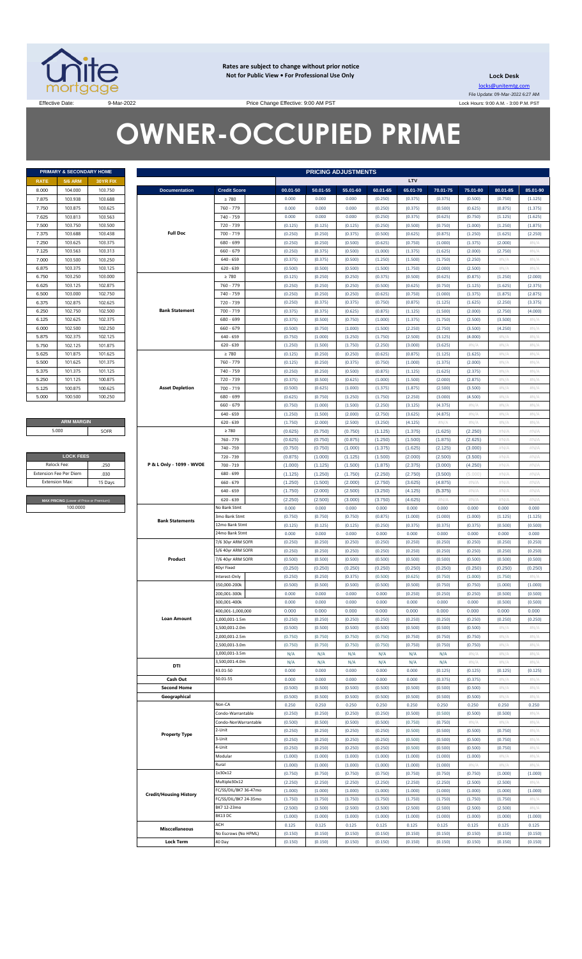

**Rates are subject to change without prior notice Not for Public View • For Professional Use Only** 

**Lock Desk** locks@unitemtg.com File Update: 09-Mar-2022 6:27 AM Lock Hours: 9:00 A.M. - 3:00 P.M. PST

Effective Date: 9:00 AM PST

# **OWNER-OCCUPIED PRIME**

|             | <b>PRIMARY &amp; SECONDARY HOME</b> |                 |  |  |  |  |  |  |  |  |  |  |
|-------------|-------------------------------------|-----------------|--|--|--|--|--|--|--|--|--|--|
| <b>RATE</b> | <b>5/6 ARM</b>                      | <b>30YR FIX</b> |  |  |  |  |  |  |  |  |  |  |
| 8.000       | 104.000                             | 103.750         |  |  |  |  |  |  |  |  |  |  |
| 7.875       | 103.938                             | 103.688         |  |  |  |  |  |  |  |  |  |  |
| 7.750       | 103.875                             | 103.625         |  |  |  |  |  |  |  |  |  |  |
| 7.625       | 103.813                             | 103.563         |  |  |  |  |  |  |  |  |  |  |
| 7.500       | 103.750                             | 103.500         |  |  |  |  |  |  |  |  |  |  |
| 7.375       | 103.688                             | 103 438         |  |  |  |  |  |  |  |  |  |  |
| 7.250       | 103.625                             | 103.375         |  |  |  |  |  |  |  |  |  |  |
| 7.125       | 103.563                             | 103.313         |  |  |  |  |  |  |  |  |  |  |
| 7.000       | 103.500                             | 103.250         |  |  |  |  |  |  |  |  |  |  |
| 6.875       | 103.375                             | 103.125         |  |  |  |  |  |  |  |  |  |  |
| 6.750       | 103.250                             | 103,000         |  |  |  |  |  |  |  |  |  |  |
| 6.625       | 103.125                             | 102.875         |  |  |  |  |  |  |  |  |  |  |
| 6.500       | 103.000                             | 102.750         |  |  |  |  |  |  |  |  |  |  |
| 6.375       | 102.875                             | 102.625         |  |  |  |  |  |  |  |  |  |  |
| 6.250       | 102.750                             | 102.500         |  |  |  |  |  |  |  |  |  |  |
| 6.125       | 102.625                             | 102.375         |  |  |  |  |  |  |  |  |  |  |
| 6.000       | 102.500                             | 102.250         |  |  |  |  |  |  |  |  |  |  |
| 5.875       | 102.375                             | 102.125         |  |  |  |  |  |  |  |  |  |  |
| 5.750       | 102.125                             | 101.875         |  |  |  |  |  |  |  |  |  |  |
| 5.625       | 101.875                             | 101.625         |  |  |  |  |  |  |  |  |  |  |
| 5.500       | 101.625                             | 101.375         |  |  |  |  |  |  |  |  |  |  |
| 5.375       | 101.375                             | 101.125         |  |  |  |  |  |  |  |  |  |  |
| 5.250       | 101.125                             | 100.875         |  |  |  |  |  |  |  |  |  |  |
| 5.125       | 100.875                             | 100.625         |  |  |  |  |  |  |  |  |  |  |
| 5.000       | 100.500                             | 100.250         |  |  |  |  |  |  |  |  |  |  |

**ARM MARGIN** 5.000

| <b>LOCK FEES</b>                        |         |
|-----------------------------------------|---------|
| Relock Fee:                             | 250     |
| <b>Extension Fee Per Diem</b>           | .030    |
| <b>Extension Max:</b>                   | 15 Days |
|                                         |         |
| MAX PRICING (Lower of Price or Premium) |         |
| 100,0000                                |         |

|             | PRIMARY & SECONDARY HOME                            |          |                                    |                             | <b>PRICING ADJUSTMENTS</b> |                    |                    |                  |                    |                  |                  |                |               |
|-------------|-----------------------------------------------------|----------|------------------------------------|-----------------------------|----------------------------|--------------------|--------------------|------------------|--------------------|------------------|------------------|----------------|---------------|
| RATE        | <b>5/6 ARM</b>                                      | 30YR FIX |                                    |                             |                            |                    |                    |                  | LTV                |                  |                  |                |               |
| 8.000       | 104.000                                             | 103.750  | <b>Documentation</b>               | <b>Credit Score</b>         | 00.01-50                   | 50.01-55           | 55.01-60           | 60.01-65         | 65.01-70           | 70.01-75         | 75.01-80         | 80.01-85       | 85.01-90      |
| 7.875       | 103.938                                             | 103.688  |                                    | $\geq 780$                  | 0.000                      | 0.000              | 0.000              | (0.250)          | (0.375)            | (0.375)          | (0.500)          | (0.750)        | (1.125)       |
| 7.750       | 103.875                                             | 103.625  |                                    | 760 - 779                   | 0.000                      | 0.000              | 0.000              | (0.250)          | (0.375)            | (0.500)          | (0.625)          | (0.875)        | (1.375)       |
| 7.625       | 103.813                                             | 103.563  |                                    | 740 - 759                   | 0.000                      | 0.000              | 0.000              | (0.250)          | (0.375)            | (0.625)          | (0.750)          | (1.125)        | (1.625)       |
| 7.500       | 103.750                                             | 103.500  |                                    | 720 - 739                   | (0.125)                    | (0.125)            | (0.125)            | (0.250)          | (0.500)            | (0.750)          | (1.000)          | (1.250)        | (1.875)       |
| 7.375       | 103.688                                             | 103.438  | <b>Full Doc</b>                    | 700 - 719                   | (0.250)                    | (0.250)            | (0.375)            | (0.500)          | (0.625)            | (0.875)          | (1.250)          | (1.625)        | (2.250)       |
| 7.250       | 103.625                                             | 103.375  |                                    | 680 - 699                   | (0.250)                    | (0.250)            | (0.500)            | (0.625)          | (0.750)            | (1.000)          | (1.375)          | (2.000)        | #N/A          |
| 7.125       | 103.563                                             | 103.313  |                                    | $660 - 679$                 | (0.250)                    | (0.375)            | (0.500)            | (1.000)          | (1.375)            | (1.625)          | (2.000)          | (2.750)        | #N/A          |
| 7.000       | 103.500                                             | 103.250  |                                    | $640 - 659$                 | (0.375)                    | (0.375)            | (0.500)            | (1.250)          | (1.500)            | (1.750)          | (2.250)          | H N/A          | #N/A          |
| 6.875       | 103.375                                             | 103.125  |                                    | $620 - 639$                 | (0.500)                    | (0.500)            | (0.500)            | (1.500)          | (1.750)            | (2.000)          | (2.500)          | H N/A          | #N/A          |
| 6.750       | 103.250                                             | 103.000  |                                    | $\geq 780$                  | (0.125)                    | (0.250)            | (0.250)            | (0.375)          | (0.500)            | (0.625)          | (0.875)          | (1.250)        | (2.000)       |
| 6.625       | 103.125                                             | 102.875  |                                    | 760 - 779                   | (0.250)                    | (0.250)            | (0.250)            | (0.500)          | (0.625)            | (0.750)          | (1.125)          | (1.625)        | (2.375)       |
| 6.500       | 103.000                                             | 102.750  |                                    | 740 - 759                   | (0.250)                    | (0.250)            | (0.250)            | (0.625)          | (0.750)            | (1.000)          | (1.375)          | (1.875)        | (2.875)       |
| 6.375       | 102.875                                             | 102.625  |                                    | 720 - 739                   | (0.250)                    | (0.375)            | (0.375)            | (0.750)          | (0.875)            | (1.125)          | (1.625)          | (2.250)        | (3.375)       |
| 6.250       | 102.750                                             | 102.500  | <b>Bank Statement</b>              | 700 - 719                   | (0.375)                    | (0.375)            | (0.625)            | (0.875)          | (1.125)            | (1.500)          | (2.000)          | (2.750)        | (4.000)       |
| 6.125       | 102.625                                             | 102.375  |                                    | 680 - 699                   | (0.375)                    | (0.500)            | (0.750)            | (1.000)          | (1.375)            | (1.750)          | (2.500)          | (3.500)        | #N/A          |
| 6.000       | 102.500                                             | 102.250  |                                    | $660 - 679$                 | (0.500)                    | (0.750)            | (1.000)            | (1.500)          | (2.250)            | (2.750)          | (3.500)          | (4.250)        | #N/A          |
| 5.875       | 102.375                                             | 102.125  |                                    | $640 - 659$                 | (0.750)                    | (1.000)            | (1.250)            | (1.750)          | (2.500)            | (3.125)          | (4.000)          | H N/A          | #N/A          |
| 5.750       | 102.125                                             | 101.875  |                                    | $620 - 639$                 | (1.250)                    | (1.500)            | (1.750)            | (2.250)          | (3.000)            | (3.625)          | $\#N/A$          | H N/A          | #N/A          |
| 5.625       | 101.875                                             | 101.625  |                                    | $\geq 780$                  | (0.125)                    | (0.250)            | (0.250)            | (0.625)          | (0.875)            | (1.125)          | (1.625)          | H N/A          | #N/A          |
| 5.500       | 101.625                                             | 101.375  |                                    | 760 - 779                   | (0.125)                    | (0.250)            | (0.375)            | (0.750)          | (1.000)            | (1.375)          | (2.000)          | H N/A          | #N/A          |
| 5.375       | 101.375                                             | 101.125  |                                    | 740 - 759                   | (0.250)                    | (0.250)            | (0.500)            | (0.875)          | (1.125)            | (1.625)          | (2.375)          | H N/A          | #N/A          |
| 5.250       | 101.125                                             | 100.875  |                                    | 720 - 739                   | (0.375)                    | (0.500)            | (0.625)            | (1.000)          | (1.500)            | (2.000)          | (2.875)          | H N/A          | #N/A          |
| 5.125       | 100.875                                             | 100.625  | <b>Asset Depletion</b>             | 700 - 719                   | (0.500)                    | (0.625)            | (1.000)            | (1.375)          | (1.875)            | (2.500)          | (3.500)          | H N/A          | #N/A          |
| 5.000       | 100.500                                             | 100.250  |                                    | 680 - 699                   | (0.625)                    | (0.750)            | (1.250)            | (1.750)          | (2.250)            | (3.000)          | (4.500)          | H N/A          | #N/A          |
|             |                                                     |          |                                    | $660 - 679$                 | (0.750)                    | (1.000)            | (1.500)            | (2.250)          | (3.125)            | (4.375)          | $\#N/A$          | H N/A          | #N/A          |
|             |                                                     |          |                                    | $640 - 659$                 | (1.250)                    | (1.500)            | (2.000)            | (2.750)          | (3.625)            | (4.875)          | #N/A             | H N/A          | #N/A          |
|             | <b>ARM MARGIN</b>                                   |          |                                    | $620 - 639$                 | (1.750)                    | (2.000)            | (2.500)            | (3.250)          | (4.125)            | $\#N/A$          | $\#N/A$          | H N/A          | #N/A          |
| 5.000       |                                                     | SOFR     |                                    | $\geq 780$                  | (0.625)                    | (0.750)            | (0.750)            | (1.125)          | (1.375)            | (1.625)          | (2.250)          | #N/A           | #N/A          |
|             |                                                     |          |                                    | 760 - 779                   | (0.625)                    | (0.750)            | (0.875)            | (1.250)          | (1.500)            | (1.875)          | (2.625)          | #N/A           | #N/A          |
|             |                                                     |          |                                    | 740 - 759                   | (0.750)                    | (0.750)            | (1.000)            | (1.375)          | (1.625)            | (2.125)          | (3.000)          | #N/A           | #N/A          |
|             | <b>LOCK FEES</b>                                    |          |                                    | 720 - 739                   | (0.875)                    | (1.000)            | (1.125)            | (1.500)          | (2.000)            | (2.500)          | (3.500)          | #N/A           | #N/A          |
| Relock Fee: |                                                     | .250     | P & L Only - 1099 - WVOE           | 700 - 719                   | (1.000)                    | (1.125)            | (1.500)            | (1.875)          | (2.375)            | (3.000)          | (4.250)          | #N/A           | #N/A          |
|             | xtension Fee Per Diem<br>.030                       |          |                                    | 680 - 699                   | (1.125)                    | (1.250)            | (1.750)            | (2.250)          | (2.750)            | (3.500)          | (5.000)          | #N/A           | #N/A          |
|             | Extension Max:<br>15 Days                           |          |                                    | $660 - 679$                 | (1.250)                    | (1.500)            | (2.000)            | (2.750)          | (3.625)            | (4.875)          | $\#N/A$          | #N/A           | #N/A          |
|             |                                                     |          |                                    | $640 - 659$                 | (1.750)                    | (2.000)            | (2.500)            | (3.250)          | (4.125)            | (5.375)          | $\#N/A$          | #N/A           | #N/A          |
|             | MAX PRICING (Lower of Price or Premium)<br>100.0000 |          |                                    | $620 - 639$<br>No Bank Stmt | (2.250)<br>0.000           | (2.500)<br>0.000   | (3.000)<br>0.000   | (3.750)<br>0.000 | (4.625)<br>0.000   | #N/A<br>0.000    | $\#N/A$<br>0.000 | #N/A<br>0.000  | #N/A<br>0.000 |
|             |                                                     |          |                                    | 3mo Bank Stmt               | (0.750)                    | (0.750)            | (0.750)            | (0.875)          | (1.000)            | (1.000)          | (1.000)          | (1.125)        | (1.125)       |
|             |                                                     |          | <b>Bank Statements</b>             | 12mo Bank Stmt              | (0.125)                    | (0.125)            | (0.125)            | (0.250)          | (0.375)            | (0.375)          | (0.375)          | (0.500)        | (0.500)       |
|             |                                                     |          |                                    | 24mo Bank Stmt              | 0.000                      | 0.000              | 0.000              | 0.000            | 0.000              | 0.000            | 0.000            | 0.000          | 0.000         |
|             |                                                     |          |                                    | 7/6 30yr ARM SOFR           | (0.250)                    | (0.250)            | (0.250)            | (0.250)          | (0.250)            | (0.250)          | (0.250)          | (0.250)        | (0.250)       |
|             |                                                     |          |                                    | 5/6 40yr ARM SOFR           | (0.250)                    | (0.250)            | (0.250)            | (0.250)          | (0.250)            | (0.250)          | (0.250)          | (0.250)        | (0.250)       |
|             |                                                     |          | Product                            | 7/6 40yr ARM SOFR           | (0.500)                    | (0.500)            | (0.500)            | (0.500)          | (0.500)            | (0.500)          | (0.500)          | (0.500)        | (0.500)       |
|             |                                                     |          |                                    | 40yr Fixed                  | (0.250)                    | (0.250)            | (0.250)            | (0.250)          | (0.250)            | (0.250)          | (0.250)          | (0.250)        | (0.250)       |
|             |                                                     |          |                                    | Interest-Only               | (0.250)                    | (0.250)            | (0.375)            | (0.500)          | (0.625)            | (0.750)          | (1.000)          | (1.750)        | #N/A          |
|             |                                                     |          |                                    | 150.000-200k                | (0.500)                    | (0.500)            | (0.500)            | (0.500)          | (0.500)            | (0.750)          | (0.750)          | (1.000)        | (1.000)       |
|             |                                                     |          |                                    | 200.001-300k                | 0.000                      | 0.000              | 0.000              | 0.000            | (0.250)            | (0.250)          | (0.250)          | (0.500)        | (0.500)       |
|             |                                                     |          |                                    | 300,001-400k                | 0.000                      | 0.000              | 0.000              | 0.000            | 0.000              | 0.000            | 0.000            | (0.500)        | (0.500)       |
|             |                                                     |          |                                    | 400,001-1,000,000           | 0.000                      | 0.000              | 0.000              | 0.000            | 0.000              | 0.000            | 0.000            | 0.000          | 0.000         |
|             |                                                     |          | <b>Loan Amount</b>                 | 1,000,001-1.5m              | (0.250)                    | (0.250)            | (0.250)            | (0.250)          | (0.250)            | (0.250)          | (0.250)          | (0.250)        | (0.250)       |
|             |                                                     |          |                                    | 1,500,001-2.0m              | (0.500)                    | (0.500)            | (0.500)            | (0.500)          | (0.500)            | (0.500)          | (0.500)          | $\#N/A$        | #N/A          |
|             |                                                     |          |                                    | 2,000,001-2.5m              | (0.750)                    | (0.750)            | (0.750)            | (0.750)          | (0.750)            | (0.750)          | (0.750)          | H N/A          | #N/A          |
|             |                                                     |          |                                    | 2,500,001-3.0m              | (0.750)                    | (0.750)            | (0.750)            | (0.750)          | (0.750)            | (0.750)          | (0.750)          | H N/A          | #N/A          |
|             |                                                     |          |                                    | 3,000,001-3.5m              | N/A                        | N/A                | N/A                | N/A              | N/A                | N/A              | #N/A             | $\#N/A$        | #N/A          |
|             |                                                     |          | DTI                                | 3,500,001-4.0m              | N/A                        | N/A                | N/A                | N/A              | N/A                | N/A              | $\#N/A$          | #N/A           | #N/A          |
|             |                                                     |          |                                    | 43.01-50                    | 0.000                      | 0.000              | 0.000              | 0.000            | 0.000              | (0.125)          | (0.125)          | (0.125)        | (0.125)       |
|             |                                                     |          | Cash Out                           | 50.01-55                    | 0.000                      | 0.000              | 0.000              | 0.000            | 0.000              | (0.375)          | (0.375)          | H N/A          | #N/A          |
|             |                                                     |          | <b>Second Home</b><br>Geographical |                             | (0.500)<br>(0.500)         | (0.500)<br>(0.500) | (0.500)<br>(0.500) | (0.500)          | (0.500)<br>(0.500) | (0.500)          | (0.500)          | H N/A<br>H N/A | #N/A<br>#N/A  |
|             |                                                     |          |                                    | Non-CA                      | 0.250                      | 0.250              | 0.250              | (0.500)<br>0.250 | 0.250              | (0.500)<br>0.250 | (0.500)<br>0.250 | 0.250          | 0.250         |
|             |                                                     |          |                                    | Condo-Warrantable           | (0.250)                    | (0.250)            | (0.250)            | (0.250)          | (0.500)            | (0.500)          | (0.500)          | (0.500)        | #N/A          |
|             |                                                     |          |                                    | Condo-NonWarrantable        | (0.500)                    | (0.500)            | (0.500)            | (0.500)          | (0.750)            | (0.750)          | #N/A             | H N/A          | #N/A          |
|             |                                                     |          |                                    | 2-Unit                      | (0.250)                    | (0.250)            | (0.250)            | (0.250)          | (0.500)            | (0.500)          | (0.500)          | (0.750)        | #N/A          |
|             |                                                     |          | <b>Property Type</b>               | 3-Unit                      | (0.250)                    | (0.250)            | (0.250)            | (0.250)          | (0.500)            | (0.500)          | (0.500)          | (0.750)        | #N/A          |
|             |                                                     |          |                                    | 4-Unit                      | (0.250)                    | (0.250)            | (0.250)            | (0.250)          | (0.500)            | (0.500)          | (0.500)          | (0.750)        | #N/A          |
|             |                                                     |          |                                    | Modular                     | (1.000)                    | (1.000)            | (1.000)            | (1.000)          | (1.000)            | (1.000)          | (1.000)          | $\#N/A$        | #N/A          |
|             |                                                     |          |                                    | Rural                       | (1.000)                    | (1.000)            | (1.000)            | (1.000)          | (1.000)            | (1.000)          | $\#N/A$          | $\#N/A$        | #N/A          |
|             |                                                     |          |                                    | 1x30x12                     | (0.750)                    | (0.750)            | (0.750)            | (0.750)          | (0.750)            | (0.750)          | (0.750)          | (1.000)        | (1.000)       |
|             |                                                     |          |                                    | Multiple30x12               | (2.250)                    | (2.250)            | (2.250)            | (2.250)          | (2.250)            | (2.250)          | (2.500)          | (2.500)        | #N/A          |
|             |                                                     |          | <b>Credit/Housing History</b>      | FC/SS/DIL/BK7 36-47mo       | (1.000)                    | (1.000)            | (1.000)            | (1.000)          | (1.000)            | (1.000)          | (1.000)          | (1.000)        | (1.000)       |
|             |                                                     |          |                                    | FC/SS/DIL/BK7 24-35mo       | (1.750)                    | (1.750)            | (1.750)            | (1.750)          | (1.750)            | (1.750)          | (1.750)          | (1.750)        | #N/A          |
|             |                                                     |          |                                    | BK7 12-23mo                 | (2.500)                    | (2.500)            | (2.500)            | (2.500)          | (2.500)            | (2.500)          | (2.500)          | (2.500)        | #N/A          |
|             |                                                     |          |                                    | BK13 DC                     | (1.000)                    | (1.000)            | (1.000)            | (1.000)          | (1.000)            | (1.000)          | (1.000)          | (1.000)        | (1.000)       |
|             |                                                     |          | <b>Misccellaneous</b>              | ACH                         | 0.125                      | 0.125              | 0.125              | 0.125            | 0.125              | 0.125            | 0.125            | 0.125          | 0.125         |
|             |                                                     |          |                                    | No Escrows (No HPML)        | (0.150)                    | (0.150)            | (0.150)            | (0.150)          | (0.150)            | (0.150)          | (0.150)          | (0.150)        | (0.150)       |
|             |                                                     |          | <b>Lock Term</b>                   | 40 Day                      | (0.150)                    | (0.150)            | (0.150)            | (0.150)          | (0.150)            | (0.150)          | (0.150)          | (0.150)        | (0.150)       |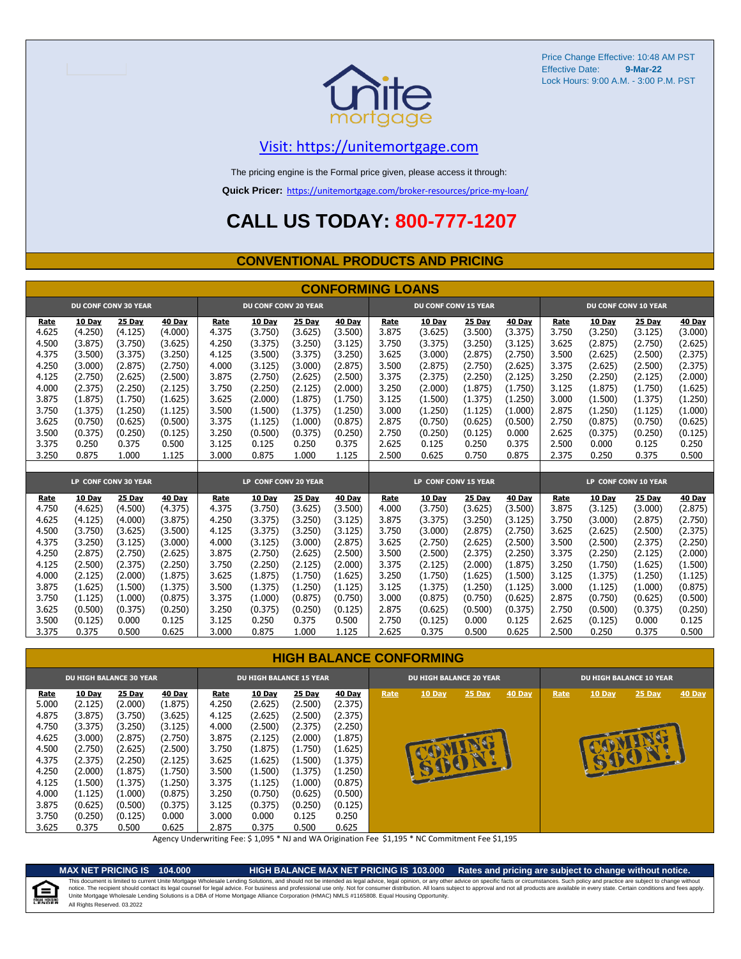

# [V](https://unitemortgage.com/)isit: https://unitemortgage.com

The pricing engine is the Formal price given, please access it through:

**Quick Pricer:** [https://un](https://unitemortgage.com/broker-resources/price-my-loan/)itemortgage.com/broker-resources/price-my-loan/

# **CALL US TODAY: 800-777-1207**

### **CONVENTIONAL PRODUCTS AND PRICING**

|       |         |                             |         |       |                             |         | <b>CONFORMING LOANS</b> |                      |                             |         |                      |                      |         |         |         |
|-------|---------|-----------------------------|---------|-------|-----------------------------|---------|-------------------------|----------------------|-----------------------------|---------|----------------------|----------------------|---------|---------|---------|
|       |         | <b>DU CONF CONV 30 YEAR</b> |         |       | <b>DU CONF CONV 20 YEAR</b> |         |                         |                      | <b>DU CONF CONV 15 YEAR</b> |         | DU CONF CONV 10 YEAR |                      |         |         |         |
| Rate  | 10 Day  | 25 Day                      | 40 Day  | Rate  | 10 Day                      | 25 Day  | 40 Day                  | Rate                 | 10 Day                      | 25 Day  | 40 Day               | Rate                 | 10 Day  | 25 Day  | 40 Day  |
| 4.625 | (4.250) | (4.125)                     | (4.000) | 4.375 | (3.750)                     | (3.625) | (3.500)                 | 3.875                | (3.625)                     | (3.500) | (3.375)              | 3.750                | (3.250) | (3.125) | (3.000) |
| 4.500 | (3.875) | (3.750)                     | (3.625) | 4.250 | (3.375)                     | (3.250) | (3.125)                 | 3.750                | (3.375)                     | (3.250) | (3.125)              | 3.625                | (2.875) | (2.750) | (2.625) |
| 4.375 | (3.500) | (3.375)                     | (3.250) | 4.125 | (3.500)                     | (3.375) | (3.250)                 | 3.625                | (3.000)                     | (2.875) | (2.750)              | 3.500                | (2.625) | (2.500) | (2.375) |
| 4.250 | (3.000) | (2.875)                     | (2.750) | 4.000 | (3.125)                     | (3,000) | (2.875)                 | 3.500                | (2.875)                     | (2.750) | (2.625)              | 3.375                | (2.625) | (2.500) | (2.375) |
| 4.125 | (2.750) | (2.625)                     | (2.500) | 3.875 | (2.750)                     | (2.625) | (2.500)                 | 3.375                | (2.375)                     | (2.250) | (2.125)              | 3.250                | (2.250) | (2.125) | (2.000) |
| 4.000 | (2.375) | (2.250)                     | (2.125) | 3.750 | (2.250)                     | (2.125) | (2.000)                 | 3.250                | (2.000)                     | (1.875) | (1.750)              | 3.125                | (1.875) | (1.750) | (1.625) |
| 3.875 | (1.875) | (1.750)                     | (1.625) | 3.625 | (2.000)                     | (1.875) | (1.750)                 | 3.125                | (1.500)                     | (1.375) | (1.250)              | 3.000                | (1.500) | (1.375) | (1.250) |
| 3.750 | (1.375) | (1.250)                     | (1.125) | 3.500 | (1.500)                     | (1.375) | (1.250)                 | 3.000                | (1.250)                     | (1.125) | (1.000)              | 2.875                | (1.250) | (1.125) | (1.000) |
| 3.625 | (0.750) | (0.625)                     | (0.500) | 3.375 | (1.125)                     | (1.000) | (0.875)                 | 2.875                | (0.750)                     | (0.625) | (0.500)              | 2.750                | (0.875) | (0.750) | (0.625) |
| 3.500 | (0.375) | (0.250)                     | (0.125) | 3.250 | (0.500)                     | (0.375) | (0.250)                 | 2.750                | (0.250)                     | (0.125) | 0.000                | 2.625                | (0.375) | (0.250) | (0.125) |
| 3.375 | 0.250   | 0.375                       | 0.500   | 3.125 | 0.125                       | 0.250   | 0.375                   | 2.625                | 0.125                       | 0.250   | 0.375                | 2.500                | 0.000   | 0.125   | 0.250   |
| 3.250 | 0.875   | 1.000                       | 1.125   | 3.000 | 0.875                       | 1.000   | 1.125                   | 2.500                | 0.625                       | 0.750   | 0.875                | 2.375                | 0.250   | 0.375   | 0.500   |
|       |         |                             |         |       |                             |         |                         |                      |                             |         |                      |                      |         |         |         |
|       |         | LP CONF CONV 30 YEAR        |         |       | LP CONF CONV 20 YEAR        |         |                         | LP CONF CONV 15 YEAR |                             |         |                      | LP CONF CONV 10 YEAR |         |         |         |
| Rate  | 10 Dav  | 25 Day                      | 40 Dav  | Rate  | 10 Dav                      | 25 Dav  | 40 Day                  | Rate                 | 10 Dav                      | 25 Day  | 40 Day               | Rate                 | 10 Day  | 25 Day  | 40 Day  |
| 4.750 | (4.625) | (4.500)                     | (4.375) | 4.375 | (3.750)                     | (3.625) | (3.500)                 | 4.000                | (3.750)                     | (3.625) | (3.500)              | 3.875                | (3.125) | (3.000) | (2.875) |
| 4.625 | (4.125) | (4.000)                     | (3.875) | 4.250 | (3.375)                     | (3.250) | (3.125)                 | 3.875                | (3.375)                     | (3.250) | (3.125)              | 3.750                | (3.000) | (2.875) | (2.750) |
| 4.500 | (3.750) | (3.625)                     | (3.500) | 4.125 | (3.375)                     | (3.250) | (3.125)                 | 3.750                | (3.000)                     | (2.875) | (2.750)              | 3.625                | (2.625) | (2.500) | (2.375) |
| 4.375 | (3.250) | (3.125)                     | (3.000) | 4.000 | (3.125)                     | (3.000) | (2.875)                 | 3.625                | (2.750)                     | (2.625) | (2.500)              | 3.500                | (2.500) | (2.375) | (2.250) |
| 4.250 | (2.875) | (2.750)                     | (2.625) | 3.875 | (2.750)                     | (2.625) | (2.500)                 | 3.500                | (2.500)                     | (2.375) | (2.250)              | 3.375                | (2.250) | (2.125) | (2.000) |
| 4.125 | (2.500) | (2.375)                     | (2.250) | 3.750 | (2.250)                     | (2.125) | (2.000)                 | 3.375                | (2.125)                     | (2.000) | (1.875)              | 3.250                | (1.750) | (1.625) | (1.500) |
| 4.000 | (2.125) | (2.000)                     | (1.875) | 3.625 | (1.875)                     | (1.750) | (1.625)                 | 3.250                | (1.750)                     | (1.625) | (1.500)              | 3.125                | (1.375) | (1.250) | (1.125) |
| 3.875 | (1.625) | (1.500)                     | (1.375) | 3.500 | (1.375)                     | (1.250) | (1.125)                 | 3.125                | (1.375)                     | (1.250) | (1.125)              | 3.000                | (1.125) | (1,000) | (0.875) |
| 3.750 | (1.125) | (1.000)                     | (0.875) | 3.375 | (1.000)                     | (0.875) | (0.750)                 | 3.000                | (0.875)                     | (0.750) | (0.625)              | 2.875                | (0.750) | (0.625) | (0.500) |
| 3.625 | (0.500) | (0.375)                     | (0.250) | 3.250 | (0.375)                     | (0.250) | (0.125)                 | 2.875                | (0.625)                     | (0.500) | (0.375)              | 2.750                | (0.500) | (0.375) | (0.250) |
| 3.500 | (0.125) | 0.000                       | 0.125   | 3.125 | 0.250                       | 0.375   | 0.500                   | 2.750                | (0.125)                     | 0.000   | 0.125                | 2.625                | (0.125) | 0.000   | 0.125   |
| 3.375 | 0.375   | 0.500                       | 0.625   | 3.000 | 0.875                       | 1.000   | 1.125                   | 2.625                | 0.375                       | 0.500   | 0.625                | 2.500                | 0.250   | 0.375   | 0.500   |

### **HIGH BALANCE CONFORMING**

| <b>DU HIGH BALANCE 30 YEAR</b>                                                                                          |                                                                                                                                                 |                                                                                                                                          |                                                                                                                                               | <b>DU HIGH BALANCE 15 YEAR</b>                                                                                   |                                                                                                                                               |                                                                                                                                               |                                                                                                                                               | <b>DU HIGH BALANCE 20 YEAR</b> |                  |        |        | <b>DU HIGH BALANCE 10 YEAR</b> |             |        |        |  |
|-------------------------------------------------------------------------------------------------------------------------|-------------------------------------------------------------------------------------------------------------------------------------------------|------------------------------------------------------------------------------------------------------------------------------------------|-----------------------------------------------------------------------------------------------------------------------------------------------|------------------------------------------------------------------------------------------------------------------|-----------------------------------------------------------------------------------------------------------------------------------------------|-----------------------------------------------------------------------------------------------------------------------------------------------|-----------------------------------------------------------------------------------------------------------------------------------------------|--------------------------------|------------------|--------|--------|--------------------------------|-------------|--------|--------|--|
| <u>Rate</u><br>5.000<br>4.875<br>4.750<br>4.625<br>4.500<br>4.375<br>4.250<br>4.125<br>4.000<br>3.875<br>3.750<br>3.625 | <b>10 Day</b><br>(2.125)<br>(3.875)<br>(3.375)<br>(3.000)<br>(2.750)<br>(2.375)<br>(2.000)<br>(1.500)<br>(1.125)<br>(0.625)<br>(0.250)<br>0.375 | 25 Day<br>(2.000)<br>(3.750)<br>(3.250)<br>(2.875)<br>(2.625)<br>(2.250)<br>(1.875)<br>(1.375)<br>(1.000)<br>(0.500)<br>(0.125)<br>0.500 | <b>40 Day</b><br>(1.875)<br>(3.625)<br>(3.125)<br>(2.750)<br>(2.500)<br>(2.125)<br>(1.750)<br>(1.250)<br>(0.875)<br>(0.375)<br>0.000<br>0.625 | Rate<br>4.250<br>4.125<br>4.000<br>3.875<br>3.750<br>3.625<br>3.500<br>3.375<br>3.250<br>3.125<br>3.000<br>2.875 | <b>10 Day</b><br>(2.625)<br>(2.625)<br>(2.500)<br>(2.125)<br>(1.875)<br>(1.625)<br>(1.500)<br>(1.125)<br>(0.750)<br>(0.375)<br>0.000<br>0.375 | <b>25 Day</b><br>(2.500)<br>(2.500)<br>(2.375)<br>(2.000)<br>(1.750)<br>(1.500)<br>(1.375)<br>(1.000)<br>(0.625)<br>(0.250)<br>0.125<br>0.500 | <b>40 Day</b><br>(2.375)<br>(2.375)<br>(2.250)<br>(1.875)<br>(1.625)<br>(1.375)<br>(1.250)<br>(0.875)<br>(0.500)<br>(0.125)<br>0.250<br>0.625 | Rate                           | 10 Day<br>use of | 25 Day | 40 Day | Rate                           | 10 Day<br>Ð | 25 Day | 40 Day |  |

Agency Underwriting Fee: \$ 1,095 \* NJ and WA Origination Fee \$1,195 \* NC Commitment Fee \$1,195

e

**MAX NET PRICING IS 104.000 HIGH BALANCE MAX NET PRICING IS 103.000 Rates and pricing are subject to change without notice.** All Rights Reserved. 03.2022 This document is limited to current Unite Mortgage Wholesale Lending Solutions, and should not be intended as legal advice, legal opinion, or any other advice on specific facts or circumstances. Such policy and practice ar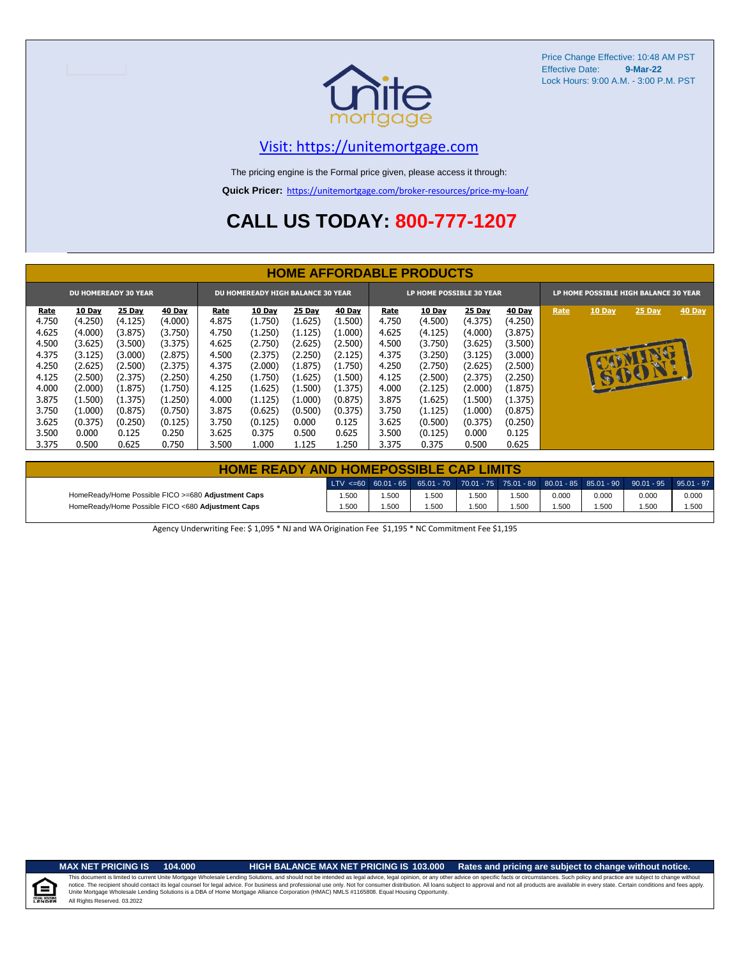

# [V](https://unitemortgage.com/)isit: https://unitemortgage.com

The pricing engine is the Formal price given, please access it through:

**Quick Pricer:** [https://un](https://unitemortgage.com/broker-resources/price-my-loan/)itemortgage.com/broker-resources/price-my-loan/

# **CALL US TODAY: 800-777-1207**

|                             | <b>HOME AFFORDABLE PRODUCTS</b> |         |         |                                          |               |         |               |       |                          |               |               |                                       |           |        |        |
|-----------------------------|---------------------------------|---------|---------|------------------------------------------|---------------|---------|---------------|-------|--------------------------|---------------|---------------|---------------------------------------|-----------|--------|--------|
| <b>DU HOMEREADY 30 YEAR</b> |                                 |         |         | <b>DU HOMEREADY HIGH BALANCE 30 YEAR</b> |               |         |               |       | LP HOME POSSIBLE 30 YEAR |               |               | LP HOME POSSIBLE HIGH BALANCE 30 YEAR |           |        |        |
| Rate                        | 10 Day                          | 25 Day  | 40 Day  | Rate                                     | <b>10 Day</b> | 25 Day  | <b>40 Day</b> | Rate  | 10 Day                   | <b>25 Day</b> | <b>40 Day</b> | Rate                                  | 10 Day    | 25 Day | 40 Day |
| 4.750                       | (4.250)                         | (4.125) | (4.000) | 4.875                                    | (1.750)       | (1.625) | (1.500)       | 4.750 | (4.500)                  | (4.375)       | (4.250)       |                                       |           |        |        |
| 4.625                       | (4.000)                         | (3.875) | (3.750) | 4.750                                    | (1.250)       | (1.125) | (1.000)       | 4.625 | (4.125)                  | (4.000)       | (3.875)       |                                       |           |        |        |
| 4.500                       | (3.625)                         | (3.500) | (3.375) | 4.625                                    | (2.750)       | (2.625) | (2.500)       | 4.500 | (3.750)                  | (3.625)       | (3.500)       |                                       |           |        |        |
| 4.375                       | (3.125)                         | (3.000) | (2.875) | 4.500                                    | (2.375)       | (2.250) | (2.125)       | 4.375 | (3.250)                  | (3.125)       | (3.000)       |                                       |           | (f     |        |
| 4.250                       | (2.625)                         | (2.500) | (2.375) | 4.375                                    | (2.000)       | (1.875) | (1.750)       | 4.250 | (2.750)                  | (2.625)       | (2.500)       |                                       | <b>AD</b> |        |        |
| 4.125                       | (2.500)                         | (2.375) | (2.250) | 4.250                                    | (1.750)       | (1.625) | (1.500)       | 4.125 | (2.500)                  | (2.375)       | (2.250)       |                                       |           | 15001  |        |
| 4.000                       | (2.000)                         | (1.875) | (1.750) | 4.125                                    | (1.625)       | (1.500) | (1.375)       | 4.000 | (2.125)                  | (2.000)       | (1.875)       |                                       |           |        |        |
| 3.875                       | (1.500)                         | (1.375) | (1.250) | 4.000                                    | (1.125)       | (1.000) | (0.875)       | 3.875 | (1.625)                  | (1.500)       | (1.375)       |                                       |           |        |        |
| 3.750                       | (1.000)                         | (0.875) | (0.750) | 3.875                                    | (0.625)       | (0.500) | (0.375)       | 3.750 | (1.125)                  | (1.000)       | (0.875)       |                                       |           |        |        |
| 3.625                       | (0.375)                         | (0.250) | (0.125) | 3.750                                    | (0.125)       | 0.000   | 0.125         | 3.625 | (0.500)                  | (0.375)       | (0.250)       |                                       |           |        |        |
| 3.500                       | 0.000                           | 0.125   | 0.250   | 3.625                                    | 0.375         | 0.500   | 0.625         | 3.500 | (0.125)                  | 0.000         | 0.125         |                                       |           |        |        |
| 3.375                       | 0.500                           | 0.625   | 0.750   | 3.500                                    | 1.000         | 1.125   | 1.250         | 3.375 | 0.375                    | 0.500         | 0.625         |                                       |           |        |        |

|                                                    | <b>HOME READY AND HOMEPOSSIBLE CAP LIMITS</b> |      |      |       |      |       |       |                                                                                                  |       |  |  |  |  |  |
|----------------------------------------------------|-----------------------------------------------|------|------|-------|------|-------|-------|--------------------------------------------------------------------------------------------------|-------|--|--|--|--|--|
|                                                    |                                               |      |      |       |      |       |       | LTV <=60 60.01 - 65 65.01 - 70 70.01 - 75 75.01 - 80 80.01 - 85 85.01 - 90 90.01 - 95 95.01 - 97 |       |  |  |  |  |  |
| HomeReady/Home Possible FICO >=680 Adjustment Caps | .50 <sub>C</sub>                              | .500 | .500 | 1.500 | .500 | 0.000 | 0.000 | 0.000                                                                                            | 0.000 |  |  |  |  |  |
| HomeReady/Home Possible FICO <680 Adjustment Caps  | .50 <sub>C</sub>                              | .500 | .500 | 1.500 | .500 | 1.500 | 1.500 | .500                                                                                             | 1.500 |  |  |  |  |  |

Agency Underwriting Fee: \$ 1,095 \* NJ and WA Origination Fee \$1,195 \* NC Commitment Fee \$1,195

 $\equiv$ 

**MAX NET PRICING IS 104.000 HIGH BALANCE MAX NET PRICING IS 103.000 Rates and pricing are subject to change without notice.**

All Rights Reserved. 03.2022 This document is limited to current Unite Mortgage Wholesale Lending Solutions, and should not be intended as legal advice, legal opinion, or any other advice on specific facts or circumstances. Such policy and practice ar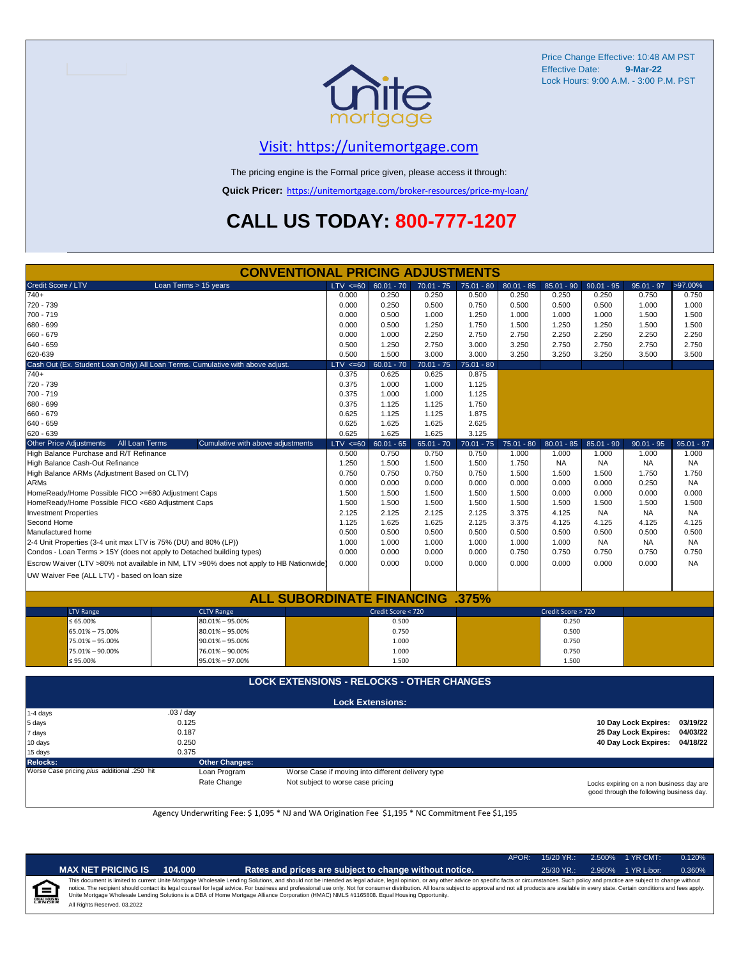

## [V](https://unitemortgage.com/)isit: https://unitemortgage.com

The pricing engine is the Formal price given, please access it through:

**Quick Pricer:** [https://un](https://unitemortgage.com/broker-resources/price-my-loan/)itemortgage.com/broker-resources/price-my-loan/

# **CALL US TODAY: 800-777-1207**

| Credit Score / LTV<br>Loan Terms > 15 years<br>$60.01 - 70$<br>>97.00%<br>LTV < 60<br>$70.01 - 75$<br>$75.01 - 80$<br>$80.01 - 85$<br>$85.01 - 90$<br>$90.01 - 95$<br>$95.01 - 97$<br>$740+$<br>0.000<br>0.250<br>0.250<br>0.500<br>0.250<br>0.250<br>0.250<br>0.750<br>720 - 739<br>0.000<br>0.250<br>0.500<br>0.750<br>0.500<br>0.500<br>0.500<br>1.000<br>700 - 719<br>0.000<br>0.500<br>1.000<br>1.250<br>1.000<br>1.000<br>1.000<br>1.500<br>680 - 699<br>0.000<br>0.500<br>1.250<br>1.750<br>1.500<br>1.250<br>1.250<br>1.500<br>660 - 679<br>2.750<br>0.000<br>1.000<br>2.250<br>2.750<br>2.250<br>2.250<br>2.250<br>640 - 659<br>0.500<br>1.250<br>2.750<br>3.000<br>3.250<br>2.750<br>2.750<br>2.750<br>1.500<br>3.000 | 0.750<br>1.000 |  |  |  |  |  |  |  |  |  |  |
|---------------------------------------------------------------------------------------------------------------------------------------------------------------------------------------------------------------------------------------------------------------------------------------------------------------------------------------------------------------------------------------------------------------------------------------------------------------------------------------------------------------------------------------------------------------------------------------------------------------------------------------------------------------------------------------------------------------------------------|----------------|--|--|--|--|--|--|--|--|--|--|
|                                                                                                                                                                                                                                                                                                                                                                                                                                                                                                                                                                                                                                                                                                                                 |                |  |  |  |  |  |  |  |  |  |  |
|                                                                                                                                                                                                                                                                                                                                                                                                                                                                                                                                                                                                                                                                                                                                 |                |  |  |  |  |  |  |  |  |  |  |
|                                                                                                                                                                                                                                                                                                                                                                                                                                                                                                                                                                                                                                                                                                                                 |                |  |  |  |  |  |  |  |  |  |  |
|                                                                                                                                                                                                                                                                                                                                                                                                                                                                                                                                                                                                                                                                                                                                 | 1.500          |  |  |  |  |  |  |  |  |  |  |
|                                                                                                                                                                                                                                                                                                                                                                                                                                                                                                                                                                                                                                                                                                                                 | 1.500          |  |  |  |  |  |  |  |  |  |  |
|                                                                                                                                                                                                                                                                                                                                                                                                                                                                                                                                                                                                                                                                                                                                 | 2.250          |  |  |  |  |  |  |  |  |  |  |
|                                                                                                                                                                                                                                                                                                                                                                                                                                                                                                                                                                                                                                                                                                                                 | 2.750          |  |  |  |  |  |  |  |  |  |  |
| 620-639<br>0.500<br>3.000<br>3.250<br>3.250<br>3.250<br>3.500                                                                                                                                                                                                                                                                                                                                                                                                                                                                                                                                                                                                                                                                   | 3.500          |  |  |  |  |  |  |  |  |  |  |
| Cash Out (Ex. Student Loan Only) All Loan Terms. Cumulative with above adjust.<br>$LTV < =60$<br>$60.01 - 70$<br>$70.01 - 75$<br>75.01 - 80                                                                                                                                                                                                                                                                                                                                                                                                                                                                                                                                                                                     |                |  |  |  |  |  |  |  |  |  |  |
| $740+$<br>0.375<br>0.625<br>0.875<br>0.625                                                                                                                                                                                                                                                                                                                                                                                                                                                                                                                                                                                                                                                                                      |                |  |  |  |  |  |  |  |  |  |  |
| 720 - 739<br>0.375<br>1.000<br>1.000<br>1.125                                                                                                                                                                                                                                                                                                                                                                                                                                                                                                                                                                                                                                                                                   |                |  |  |  |  |  |  |  |  |  |  |
| 700 - 719<br>0.375<br>1.000<br>1.000<br>1.125                                                                                                                                                                                                                                                                                                                                                                                                                                                                                                                                                                                                                                                                                   |                |  |  |  |  |  |  |  |  |  |  |
| 680 - 699<br>0.375<br>1.750<br>1.125<br>1.125                                                                                                                                                                                                                                                                                                                                                                                                                                                                                                                                                                                                                                                                                   |                |  |  |  |  |  |  |  |  |  |  |
| 660 - 679<br>0.625<br>1.125<br>1.875<br>1.125                                                                                                                                                                                                                                                                                                                                                                                                                                                                                                                                                                                                                                                                                   |                |  |  |  |  |  |  |  |  |  |  |
| 640 - 659<br>0.625<br>1.625<br>1.625<br>2.625                                                                                                                                                                                                                                                                                                                                                                                                                                                                                                                                                                                                                                                                                   |                |  |  |  |  |  |  |  |  |  |  |
| 620 - 639<br>0.625<br>1.625<br>1.625<br>3.125                                                                                                                                                                                                                                                                                                                                                                                                                                                                                                                                                                                                                                                                                   |                |  |  |  |  |  |  |  |  |  |  |
| <b>Other Price Adjustments</b><br>All Loan Terms<br>Cumulative with above adjustments<br>$LTV < =60$<br>$60.01 - 65$<br>$65.01 - 70$<br>$70.01 - 75$<br>$75.01 - 80$<br>$80.01 - 85$<br>$85.01 - 90$<br>$90.01 - 95$                                                                                                                                                                                                                                                                                                                                                                                                                                                                                                            | $95.01 - 97$   |  |  |  |  |  |  |  |  |  |  |
| High Balance Purchase and R/T Refinance<br>0.750<br>0.500<br>0.750<br>0.750<br>1.000<br>1.000<br>1.000<br>1.000                                                                                                                                                                                                                                                                                                                                                                                                                                                                                                                                                                                                                 | 1.000          |  |  |  |  |  |  |  |  |  |  |
| High Balance Cash-Out Refinance<br>1.250<br>1.500<br>1.500<br>1.500<br>1.750<br><b>NA</b><br><b>NA</b><br>NA                                                                                                                                                                                                                                                                                                                                                                                                                                                                                                                                                                                                                    | NA             |  |  |  |  |  |  |  |  |  |  |
| High Balance ARMs (Adjustment Based on CLTV)<br>0.750<br>0.750<br>0.750<br>0.750<br>1.500<br>1.500<br>1.500<br>1.750                                                                                                                                                                                                                                                                                                                                                                                                                                                                                                                                                                                                            | 1.750          |  |  |  |  |  |  |  |  |  |  |
| <b>ARMs</b><br>0.000<br>0.000<br>0.000<br>0.000<br>0.250<br>0.000<br>0.000<br>0.000                                                                                                                                                                                                                                                                                                                                                                                                                                                                                                                                                                                                                                             | <b>NA</b>      |  |  |  |  |  |  |  |  |  |  |
| HomeReady/Home Possible FICO >=680 Adjustment Caps<br>1.500<br>1.500<br>1.500<br>1.500<br>1.500<br>0.000<br>0.000<br>0.000                                                                                                                                                                                                                                                                                                                                                                                                                                                                                                                                                                                                      | 0.000          |  |  |  |  |  |  |  |  |  |  |
| HomeReady/Home Possible FICO <680 Adjustment Caps<br>1.500<br>1.500<br>1.500<br>1.500<br>1.500<br>1.500<br>1.500<br>1.500                                                                                                                                                                                                                                                                                                                                                                                                                                                                                                                                                                                                       | 1.500          |  |  |  |  |  |  |  |  |  |  |
| <b>Investment Properties</b><br>2.125<br>2.125<br>2.125<br>2.125<br>3.375<br>4.125<br><b>NA</b><br><b>NA</b>                                                                                                                                                                                                                                                                                                                                                                                                                                                                                                                                                                                                                    | <b>NA</b>      |  |  |  |  |  |  |  |  |  |  |
| Second Home<br>1.125<br>1.625<br>1.625<br>2.125<br>3.375<br>4.125<br>4.125<br>4.125                                                                                                                                                                                                                                                                                                                                                                                                                                                                                                                                                                                                                                             | 4.125          |  |  |  |  |  |  |  |  |  |  |
| Manufactured home<br>0.500<br>0.500<br>0.500<br>0.500<br>0.500<br>0.500<br>0.500<br>0.500                                                                                                                                                                                                                                                                                                                                                                                                                                                                                                                                                                                                                                       | 0.500          |  |  |  |  |  |  |  |  |  |  |
| 2-4 Unit Properties (3-4 unit max LTV is 75% (DU) and 80% (LP))<br>1.000<br>1.000<br>1.000<br>1.000<br>1.000<br>1.000<br><b>NA</b><br><b>NA</b>                                                                                                                                                                                                                                                                                                                                                                                                                                                                                                                                                                                 | <b>NA</b>      |  |  |  |  |  |  |  |  |  |  |
| Condos - Loan Terms > 15Y (does not apply to Detached building types)<br>0.000<br>0.750<br>0.000<br>0.000<br>0.000<br>0.750<br>0.750<br>0.750                                                                                                                                                                                                                                                                                                                                                                                                                                                                                                                                                                                   | 0.750          |  |  |  |  |  |  |  |  |  |  |
| Escrow Waiver (LTV >80% not available in NM, LTV >90% does not apply to HB Nationwide)<br>0.000<br>0.000<br>0.000<br>0.000<br>0.000<br>0.000<br>0.000<br>0.000                                                                                                                                                                                                                                                                                                                                                                                                                                                                                                                                                                  | <b>NA</b>      |  |  |  |  |  |  |  |  |  |  |
| UW Waiver Fee (ALL LTV) - based on loan size                                                                                                                                                                                                                                                                                                                                                                                                                                                                                                                                                                                                                                                                                    |                |  |  |  |  |  |  |  |  |  |  |
|                                                                                                                                                                                                                                                                                                                                                                                                                                                                                                                                                                                                                                                                                                                                 |                |  |  |  |  |  |  |  |  |  |  |
|                                                                                                                                                                                                                                                                                                                                                                                                                                                                                                                                                                                                                                                                                                                                 |                |  |  |  |  |  |  |  |  |  |  |
| <b>ALL SUBORDINATE FINANCING</b><br>.375%                                                                                                                                                                                                                                                                                                                                                                                                                                                                                                                                                                                                                                                                                       |                |  |  |  |  |  |  |  |  |  |  |
| Credit Score < 720<br>Credit Score > 720<br><b>LTV Range</b><br><b>CLTV Range</b>                                                                                                                                                                                                                                                                                                                                                                                                                                                                                                                                                                                                                                               |                |  |  |  |  |  |  |  |  |  |  |
| $\leq 65.00\%$<br>$80.01\% - 95.00\%$<br>0.500<br>0.250                                                                                                                                                                                                                                                                                                                                                                                                                                                                                                                                                                                                                                                                         |                |  |  |  |  |  |  |  |  |  |  |
| 65.01% - 75.00%<br>$80.01\% - 95.00\%$<br>0.750<br>0.500                                                                                                                                                                                                                                                                                                                                                                                                                                                                                                                                                                                                                                                                        |                |  |  |  |  |  |  |  |  |  |  |
| 1.000<br>75.01% - 95.00%<br>$90.01\% - 95.00\%$<br>0.750                                                                                                                                                                                                                                                                                                                                                                                                                                                                                                                                                                                                                                                                        |                |  |  |  |  |  |  |  |  |  |  |
| 75.01% - 90.00%<br>76.01% - 90.00%<br>1.000<br>0.750                                                                                                                                                                                                                                                                                                                                                                                                                                                                                                                                                                                                                                                                            |                |  |  |  |  |  |  |  |  |  |  |
| $\leq 95.00\%$<br>95.01% - 97.00%<br>1.500<br>1.500                                                                                                                                                                                                                                                                                                                                                                                                                                                                                                                                                                                                                                                                             |                |  |  |  |  |  |  |  |  |  |  |
|                                                                                                                                                                                                                                                                                                                                                                                                                                                                                                                                                                                                                                                                                                                                 |                |  |  |  |  |  |  |  |  |  |  |
| <b>LOCK EXTENSIONS - RELOCKS - OTHER CHANGES</b>                                                                                                                                                                                                                                                                                                                                                                                                                                                                                                                                                                                                                                                                                |                |  |  |  |  |  |  |  |  |  |  |
| <b>Lock Extensions:</b>                                                                                                                                                                                                                                                                                                                                                                                                                                                                                                                                                                                                                                                                                                         |                |  |  |  |  |  |  |  |  |  |  |
| .03 / day<br>1-4 days                                                                                                                                                                                                                                                                                                                                                                                                                                                                                                                                                                                                                                                                                                           |                |  |  |  |  |  |  |  |  |  |  |
| 0.125<br>10 Day Lock Expires:<br>5 days                                                                                                                                                                                                                                                                                                                                                                                                                                                                                                                                                                                                                                                                                         | 03/19/22       |  |  |  |  |  |  |  |  |  |  |
| 0.187<br>25 Day Lock Expires:<br>7 days                                                                                                                                                                                                                                                                                                                                                                                                                                                                                                                                                                                                                                                                                         | 04/03/22       |  |  |  |  |  |  |  |  |  |  |
| 40 Day Lock Expires:<br>10 days<br>0.250                                                                                                                                                                                                                                                                                                                                                                                                                                                                                                                                                                                                                                                                                        | 04/18/22       |  |  |  |  |  |  |  |  |  |  |
| 0.375<br>15 days                                                                                                                                                                                                                                                                                                                                                                                                                                                                                                                                                                                                                                                                                                                |                |  |  |  |  |  |  |  |  |  |  |

**Relocks: Other Changes:**

Loan Program *plus* Worse Case if moving into different delivery type Rate Change Mot subject to worse case pricing

Locks expiring on a non business day are good through the following business day.

Agency Underwriting Fee: \$ 1,095 \* NJ and WA Origination Fee \$1,195 \* NC Commitment Fee \$1,195

| <b>IET PRICING IS</b> | 104.000 |
|-----------------------|---------|
|-----------------------|---------|

**MAX NET PRICING IS 104.000 Rates and prices are subject to change without notice.** 25/30 YR.: 2.960% 1 YR Libor: 0.360%

APOR: 15/20 YR.: 2.500% 1 YR CMT: 0.120%

All Rights Reserved. 03.2022 This document is limited to current Unite Mortgage Wholesale Lending Solutions, and should not be intended as legal advice, legal opinion, or any other advice on specific facts or circumstances. Such policy and practice ar